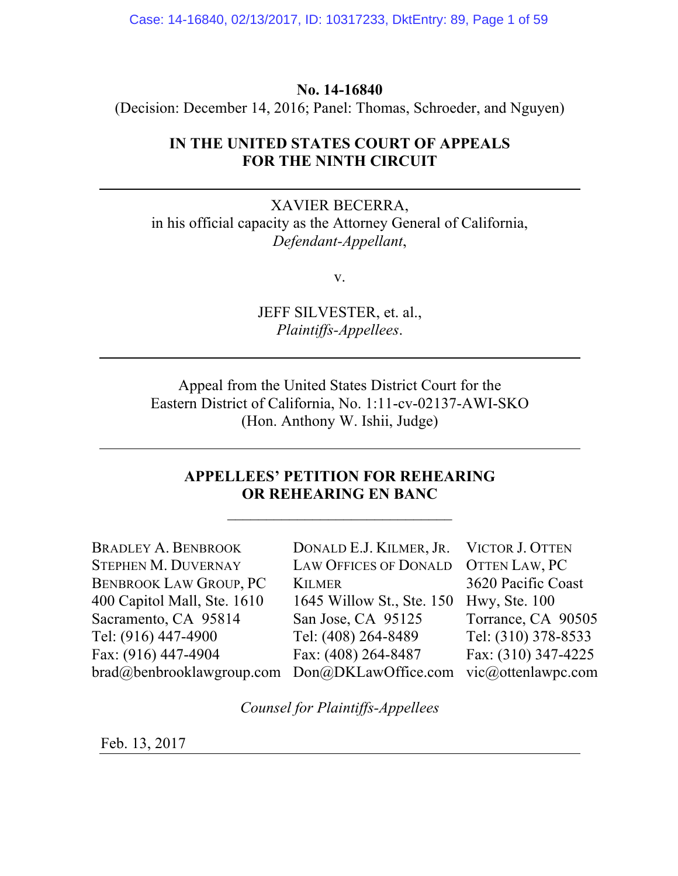Case: 14-16840, 02/13/2017, ID: 10317233, DktEntry: 89, Page 1 of 59

## **No. 14-16840**

(Decision: December 14, 2016; Panel: Thomas, Schroeder, and Nguyen)

# **IN THE UNITED STATES COURT OF APPEALS FOR THE NINTH CIRCUIT**

XAVIER BECERRA, in his official capacity as the Attorney General of California, *Defendant-Appellant*,

v.

JEFF SILVESTER, et. al., *Plaintiffs-Appellees*.

Appeal from the United States District Court for the Eastern District of California, No. 1:11-cv-02137-AWI-SKO (Hon. Anthony W. Ishii, Judge)

# **APPELLEES' PETITION FOR REHEARING OR REHEARING EN BANC**

 $\mathcal{L}_\text{max}$ 

| <b>BRADLEY A. BENBROOK</b>    | DONALD E.J. KILMER, JR. VICTOR J. OTTEN |                     |
|-------------------------------|-----------------------------------------|---------------------|
| <b>STEPHEN M. DUVERNAY</b>    | LAW OFFICES OF DONALD OTTEN LAW, PC     |                     |
| <b>BENBROOK LAW GROUP, PC</b> | <b>KILMER</b>                           | 3620 Pacific Coast  |
| 400 Capitol Mall, Ste. 1610   | 1645 Willow St., Ste. 150               | Hwy, Ste. 100       |
| Sacramento, CA 95814          | San Jose, CA 95125                      | Torrance, CA 90505  |
| Tel: (916) 447-4900           | Tel: (408) 264-8489                     | Tel: (310) 378-8533 |
| Fax: (916) 447-4904           | Fax: (408) 264-8487                     | Fax: (310) 347-4225 |
| brad@benbrooklawgroup.com     | Don@DKLawOffice.com vic@ottenlawpc.com  |                     |
|                               |                                         |                     |

*Counsel for Plaintiffs-Appellees*

Feb. 13, 2017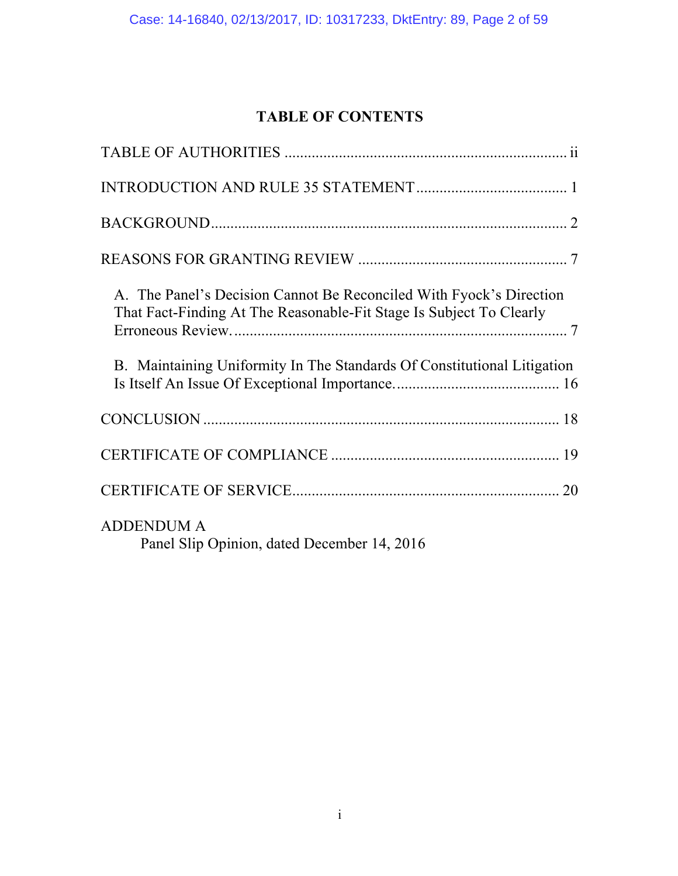# **TABLE OF CONTENTS**

| A. The Panel's Decision Cannot Be Reconciled With Fyock's Direction<br>That Fact-Finding At The Reasonable-Fit Stage Is Subject To Clearly |
|--------------------------------------------------------------------------------------------------------------------------------------------|
| B. Maintaining Uniformity In The Standards Of Constitutional Litigation                                                                    |
|                                                                                                                                            |
|                                                                                                                                            |
|                                                                                                                                            |
| <b>ADDENDUM A</b><br>Panel Slip Opinion, dated December 14, 2016                                                                           |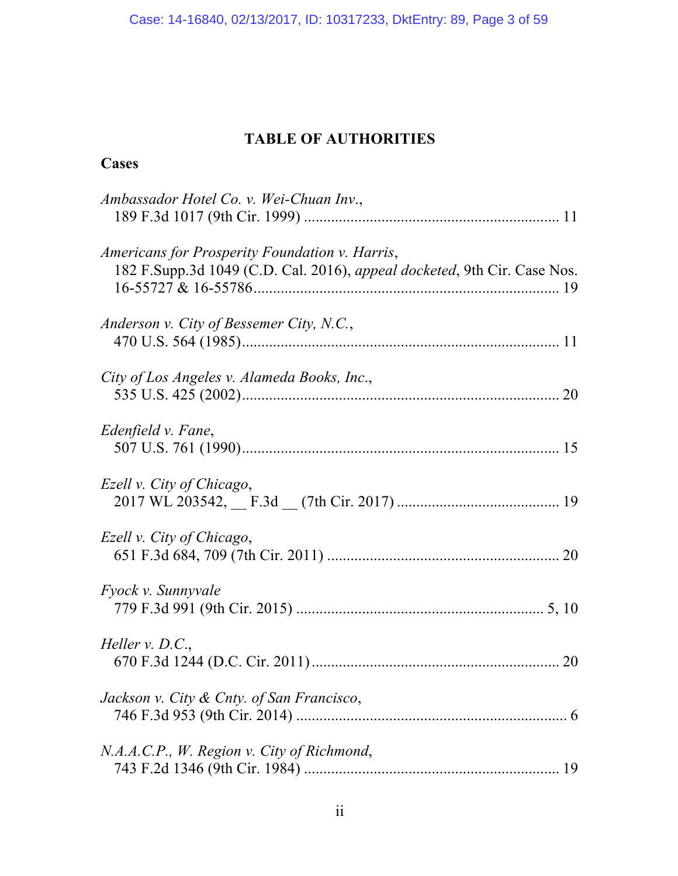# **TABLE OF AUTHORITIES**

# **Cases**

| Ambassador Hotel Co. v. Wei-Chuan Inv.,                                                                                    |
|----------------------------------------------------------------------------------------------------------------------------|
| Americans for Prosperity Foundation v. Harris,<br>182 F.Supp.3d 1049 (C.D. Cal. 2016), appeal docketed, 9th Cir. Case Nos. |
| Anderson v. City of Bessemer City, N.C.,                                                                                   |
| City of Los Angeles v. Alameda Books, Inc.,                                                                                |
| Edenfield v. Fane,                                                                                                         |
| Ezell v. City of Chicago,                                                                                                  |
| Ezell v. City of Chicago,                                                                                                  |
| <i>Fyock v. Sunnyvale</i>                                                                                                  |
| Heller $v. D.C.,$                                                                                                          |
| Jackson v. City & Cnty. of San Francisco,                                                                                  |
| N.A.A.C.P., W. Region v. City of Richmond,<br>19                                                                           |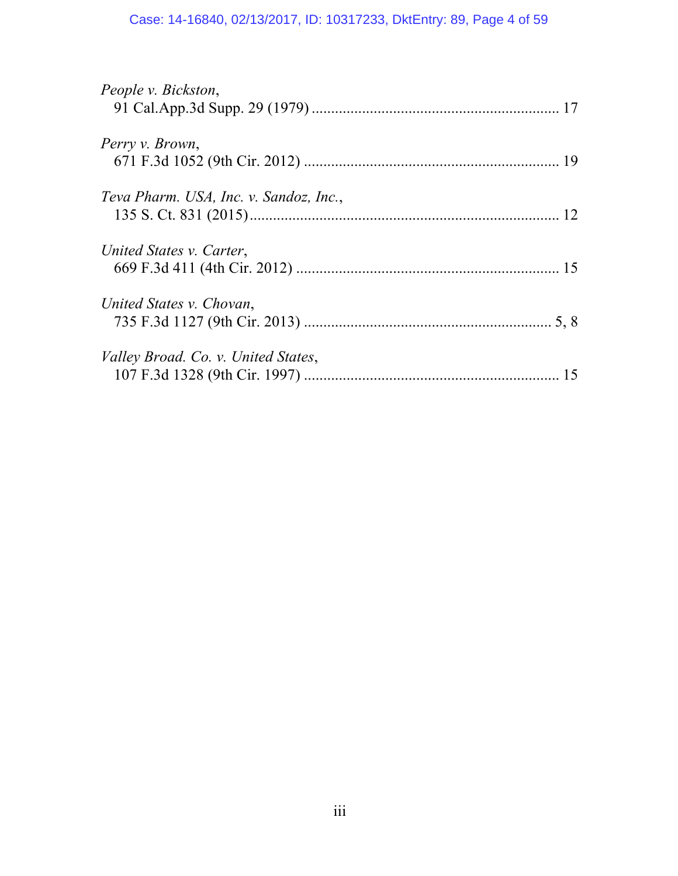# Case: 14-16840, 02/13/2017, ID: 10317233, DktEntry: 89, Page 4 of 59

| People v. Bickston,                    |    |
|----------------------------------------|----|
|                                        |    |
| Perry v. Brown,                        |    |
|                                        |    |
| Teva Pharm. USA, Inc. v. Sandoz, Inc., |    |
|                                        |    |
| United States v. Carter,               |    |
|                                        |    |
| United States v. Chovan,               |    |
|                                        |    |
| Valley Broad. Co. v. United States,    |    |
|                                        | 15 |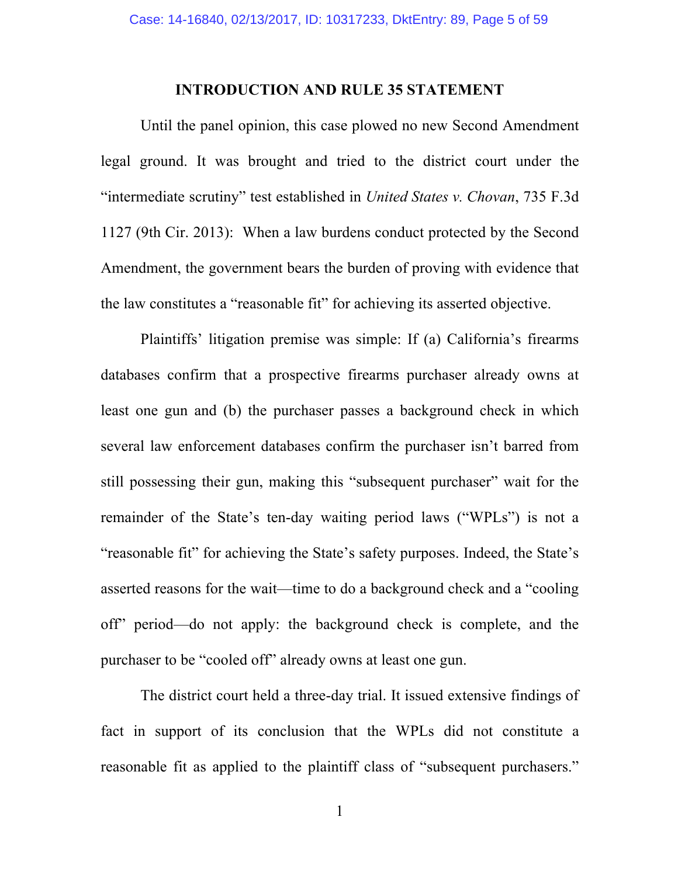## **INTRODUCTION AND RULE 35 STATEMENT**

Until the panel opinion, this case plowed no new Second Amendment legal ground. It was brought and tried to the district court under the "intermediate scrutiny" test established in *United States v. Chovan*, 735 F.3d 1127 (9th Cir. 2013): When a law burdens conduct protected by the Second Amendment, the government bears the burden of proving with evidence that the law constitutes a "reasonable fit" for achieving its asserted objective.

Plaintiffs' litigation premise was simple: If (a) California's firearms databases confirm that a prospective firearms purchaser already owns at least one gun and (b) the purchaser passes a background check in which several law enforcement databases confirm the purchaser isn't barred from still possessing their gun, making this "subsequent purchaser" wait for the remainder of the State's ten-day waiting period laws ("WPLs") is not a "reasonable fit" for achieving the State's safety purposes. Indeed, the State's asserted reasons for the wait—time to do a background check and a "cooling off" period—do not apply: the background check is complete, and the purchaser to be "cooled off" already owns at least one gun.

The district court held a three-day trial. It issued extensive findings of fact in support of its conclusion that the WPLs did not constitute a reasonable fit as applied to the plaintiff class of "subsequent purchasers."

1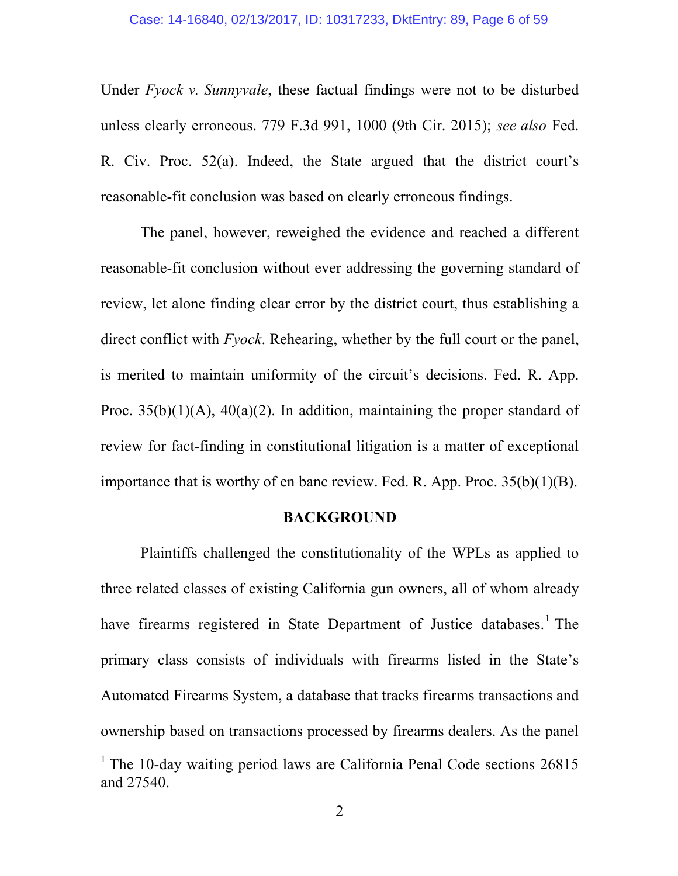Under *Fyock v. Sunnyvale*, these factual findings were not to be disturbed unless clearly erroneous. 779 F.3d 991, 1000 (9th Cir. 2015); *see also* Fed. R. Civ. Proc. 52(a). Indeed, the State argued that the district court's reasonable-fit conclusion was based on clearly erroneous findings.

The panel, however, reweighed the evidence and reached a different reasonable-fit conclusion without ever addressing the governing standard of review, let alone finding clear error by the district court, thus establishing a direct conflict with *Fyock*. Rehearing, whether by the full court or the panel, is merited to maintain uniformity of the circuit's decisions. Fed. R. App. Proc.  $35(b)(1)(A)$ ,  $40(a)(2)$ . In addition, maintaining the proper standard of review for fact-finding in constitutional litigation is a matter of exceptional importance that is worthy of en banc review. Fed. R. App. Proc. 35(b)(1)(B).

## **BACKGROUND**

Plaintiffs challenged the constitutionality of the WPLs as applied to three related classes of existing California gun owners, all of whom already have firearms registered in State Department of Justice databases.<sup>1</sup> The primary class consists of individuals with firearms listed in the State's Automated Firearms System, a database that tracks firearms transactions and ownership based on transactions processed by firearms dealers. As the panel

<sup>&</sup>lt;sup>1</sup> The 10-day waiting period laws are California Penal Code sections  $26815$ and 27540.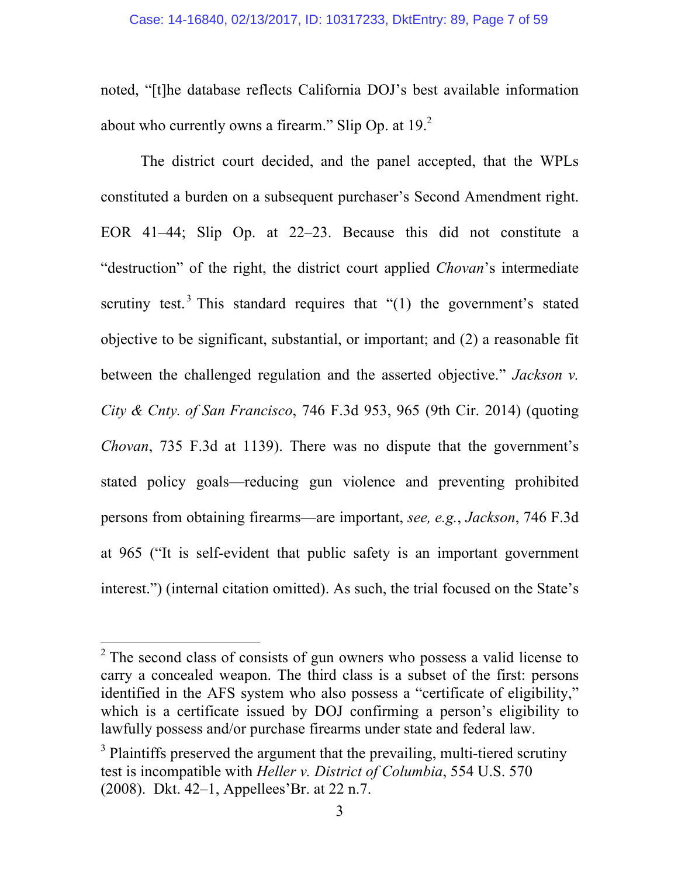noted, "[t]he database reflects California DOJ's best available information about who currently owns a firearm." Slip Op. at  $19<sup>2</sup>$ 

The district court decided, and the panel accepted, that the WPLs constituted a burden on a subsequent purchaser's Second Amendment right. EOR 41–44; Slip Op. at 22–23. Because this did not constitute a "destruction" of the right, the district court applied *Chovan*'s intermediate scrutiny test.<sup>3</sup> This standard requires that  $(1)$  the government's stated objective to be significant, substantial, or important; and (2) a reasonable fit between the challenged regulation and the asserted objective." *Jackson v. City & Cnty. of San Francisco*, 746 F.3d 953, 965 (9th Cir. 2014) (quoting *Chovan*, 735 F.3d at 1139). There was no dispute that the government's stated policy goals—reducing gun violence and preventing prohibited persons from obtaining firearms—are important, *see, e.g.*, *Jackson*, 746 F.3d at 965 ("It is self-evident that public safety is an important government interest.") (internal citation omitted). As such, the trial focused on the State's

<sup>&</sup>lt;sup>2</sup> The second class of consists of gun owners who possess a valid license to carry a concealed weapon. The third class is a subset of the first: persons identified in the AFS system who also possess a "certificate of eligibility," which is a certificate issued by DOJ confirming a person's eligibility to lawfully possess and/or purchase firearms under state and federal law.

<sup>&</sup>lt;sup>3</sup> Plaintiffs preserved the argument that the prevailing, multi-tiered scrutiny test is incompatible with *Heller v. District of Columbia*, 554 U.S. 570 (2008). Dkt. 42–1, Appellees'Br. at 22 n.7.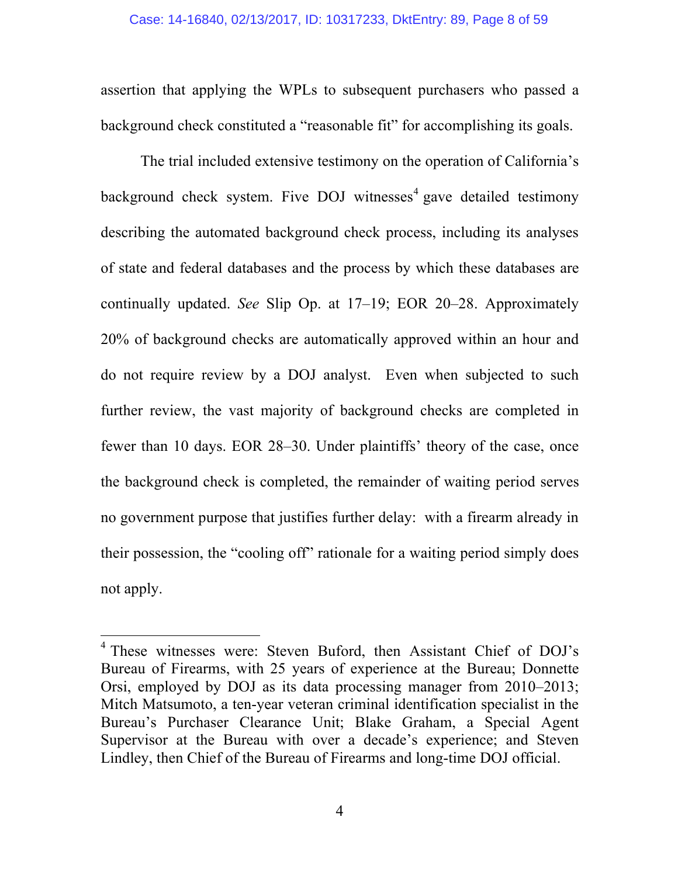assertion that applying the WPLs to subsequent purchasers who passed a background check constituted a "reasonable fit" for accomplishing its goals.

The trial included extensive testimony on the operation of California's background check system. Five DOJ witnesses<sup>4</sup> gave detailed testimony describing the automated background check process, including its analyses of state and federal databases and the process by which these databases are continually updated. *See* Slip Op. at 17–19; EOR 20–28. Approximately 20% of background checks are automatically approved within an hour and do not require review by a DOJ analyst. Even when subjected to such further review, the vast majority of background checks are completed in fewer than 10 days. EOR 28–30. Under plaintiffs' theory of the case, once the background check is completed, the remainder of waiting period serves no government purpose that justifies further delay: with a firearm already in their possession, the "cooling off" rationale for a waiting period simply does not apply.

 <sup>4</sup> These witnesses were: Steven Buford, then Assistant Chief of DOJ's Bureau of Firearms, with 25 years of experience at the Bureau; Donnette Orsi, employed by DOJ as its data processing manager from 2010–2013; Mitch Matsumoto, a ten-year veteran criminal identification specialist in the Bureau's Purchaser Clearance Unit; Blake Graham, a Special Agent Supervisor at the Bureau with over a decade's experience; and Steven Lindley, then Chief of the Bureau of Firearms and long-time DOJ official.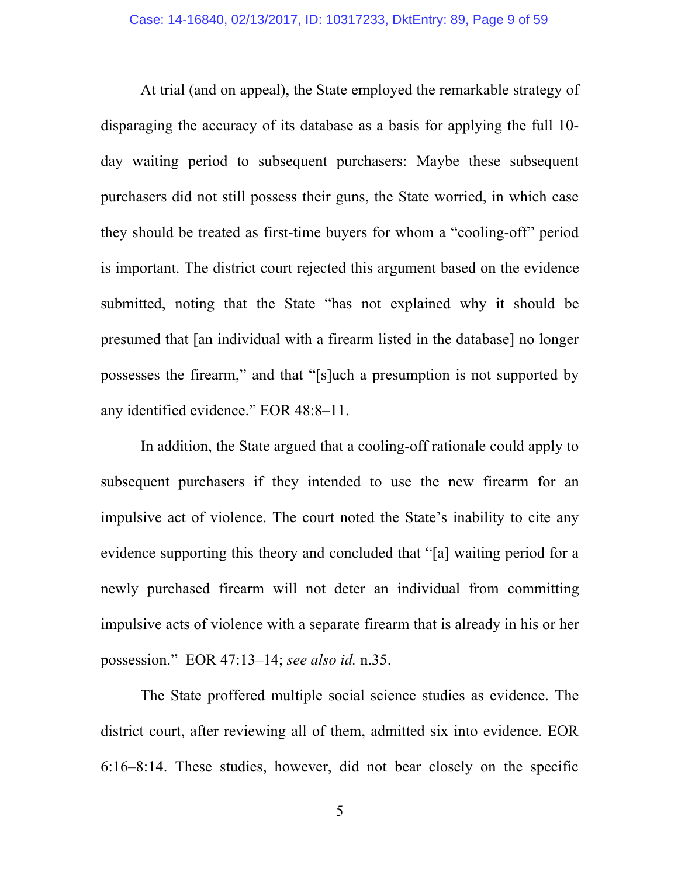At trial (and on appeal), the State employed the remarkable strategy of disparaging the accuracy of its database as a basis for applying the full 10 day waiting period to subsequent purchasers: Maybe these subsequent purchasers did not still possess their guns, the State worried, in which case they should be treated as first-time buyers for whom a "cooling-off" period is important. The district court rejected this argument based on the evidence submitted, noting that the State "has not explained why it should be presumed that [an individual with a firearm listed in the database] no longer possesses the firearm," and that "[s]uch a presumption is not supported by any identified evidence." EOR 48:8–11.

In addition, the State argued that a cooling-off rationale could apply to subsequent purchasers if they intended to use the new firearm for an impulsive act of violence. The court noted the State's inability to cite any evidence supporting this theory and concluded that "[a] waiting period for a newly purchased firearm will not deter an individual from committing impulsive acts of violence with a separate firearm that is already in his or her possession." EOR 47:13–14; *see also id.* n.35.

The State proffered multiple social science studies as evidence. The district court, after reviewing all of them, admitted six into evidence. EOR 6:16–8:14. These studies, however, did not bear closely on the specific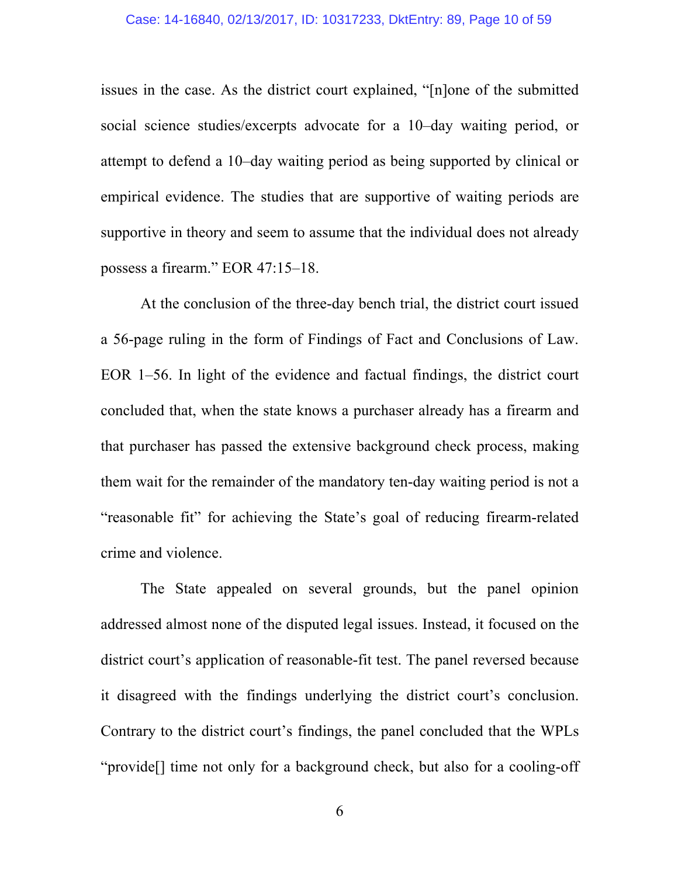issues in the case. As the district court explained, "[n]one of the submitted social science studies/excerpts advocate for a 10–day waiting period, or attempt to defend a 10–day waiting period as being supported by clinical or empirical evidence. The studies that are supportive of waiting periods are supportive in theory and seem to assume that the individual does not already possess a firearm." EOR 47:15–18.

At the conclusion of the three-day bench trial, the district court issued a 56-page ruling in the form of Findings of Fact and Conclusions of Law. EOR 1–56. In light of the evidence and factual findings, the district court concluded that, when the state knows a purchaser already has a firearm and that purchaser has passed the extensive background check process, making them wait for the remainder of the mandatory ten-day waiting period is not a "reasonable fit" for achieving the State's goal of reducing firearm-related crime and violence.

The State appealed on several grounds, but the panel opinion addressed almost none of the disputed legal issues. Instead, it focused on the district court's application of reasonable-fit test. The panel reversed because it disagreed with the findings underlying the district court's conclusion. Contrary to the district court's findings, the panel concluded that the WPLs "provide[] time not only for a background check, but also for a cooling-off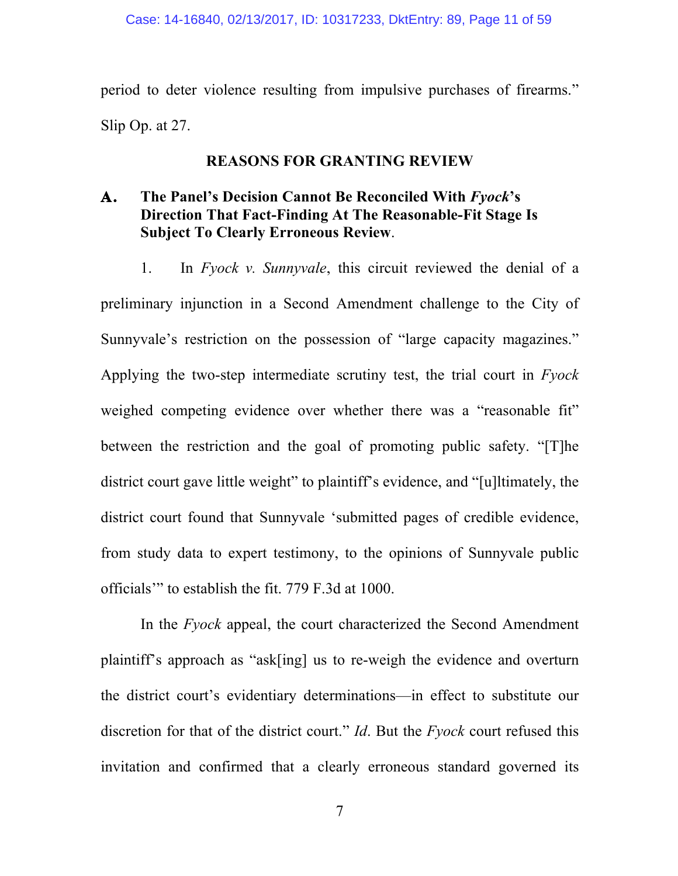period to deter violence resulting from impulsive purchases of firearms." Slip Op. at 27.

## **REASONS FOR GRANTING REVIEW**

# **A. The Panel's Decision Cannot Be Reconciled With** *Fyock***'s Direction That Fact-Finding At The Reasonable-Fit Stage Is Subject To Clearly Erroneous Review**.

1. In *Fyock v. Sunnyvale*, this circuit reviewed the denial of a preliminary injunction in a Second Amendment challenge to the City of Sunnyvale's restriction on the possession of "large capacity magazines." Applying the two-step intermediate scrutiny test, the trial court in *Fyock* weighed competing evidence over whether there was a "reasonable fit" between the restriction and the goal of promoting public safety. "[T]he district court gave little weight" to plaintiff's evidence, and "[u]ltimately, the district court found that Sunnyvale 'submitted pages of credible evidence, from study data to expert testimony, to the opinions of Sunnyvale public officials'" to establish the fit. 779 F.3d at 1000.

In the *Fyock* appeal, the court characterized the Second Amendment plaintiff's approach as "ask[ing] us to re-weigh the evidence and overturn the district court's evidentiary determinations—in effect to substitute our discretion for that of the district court." *Id*. But the *Fyock* court refused this invitation and confirmed that a clearly erroneous standard governed its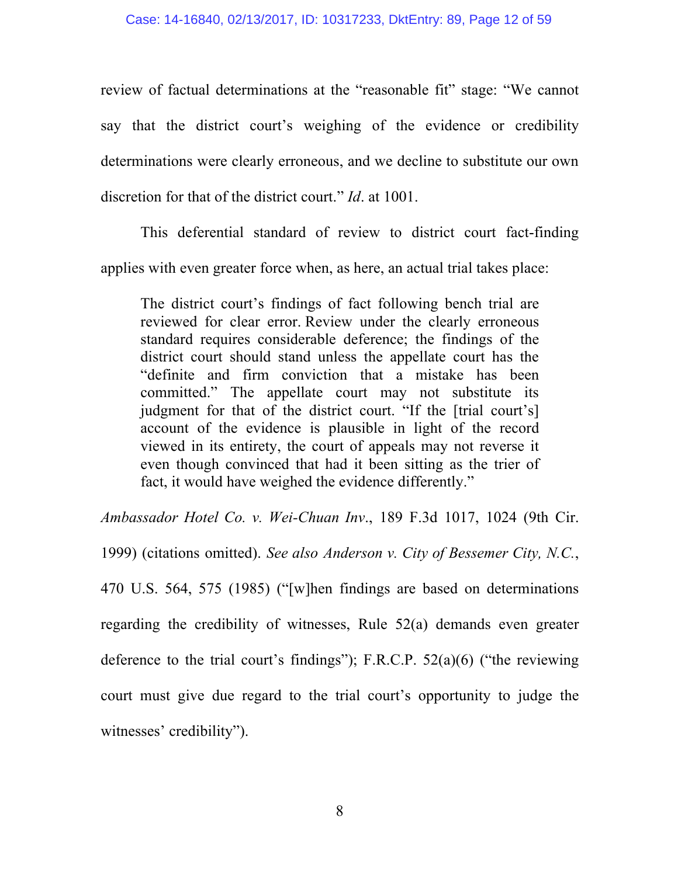review of factual determinations at the "reasonable fit" stage: "We cannot say that the district court's weighing of the evidence or credibility determinations were clearly erroneous, and we decline to substitute our own discretion for that of the district court." *Id*. at 1001.

This deferential standard of review to district court fact-finding applies with even greater force when, as here, an actual trial takes place:

The district court's findings of fact following bench trial are reviewed for clear error. Review under the clearly erroneous standard requires considerable deference; the findings of the district court should stand unless the appellate court has the "definite and firm conviction that a mistake has been committed." The appellate court may not substitute its judgment for that of the district court. "If the [trial court's] account of the evidence is plausible in light of the record viewed in its entirety, the court of appeals may not reverse it even though convinced that had it been sitting as the trier of fact, it would have weighed the evidence differently."

*Ambassador Hotel Co. v. Wei-Chuan Inv*., 189 F.3d 1017, 1024 (9th Cir.

1999) (citations omitted). *See also Anderson v. City of Bessemer City, N.C.*,

470 U.S. 564, 575 (1985) ("[w]hen findings are based on determinations regarding the credibility of witnesses, Rule 52(a) demands even greater deference to the trial court's findings"); F.R.C.P.  $52(a)(6)$  ("the reviewing court must give due regard to the trial court's opportunity to judge the witnesses' credibility").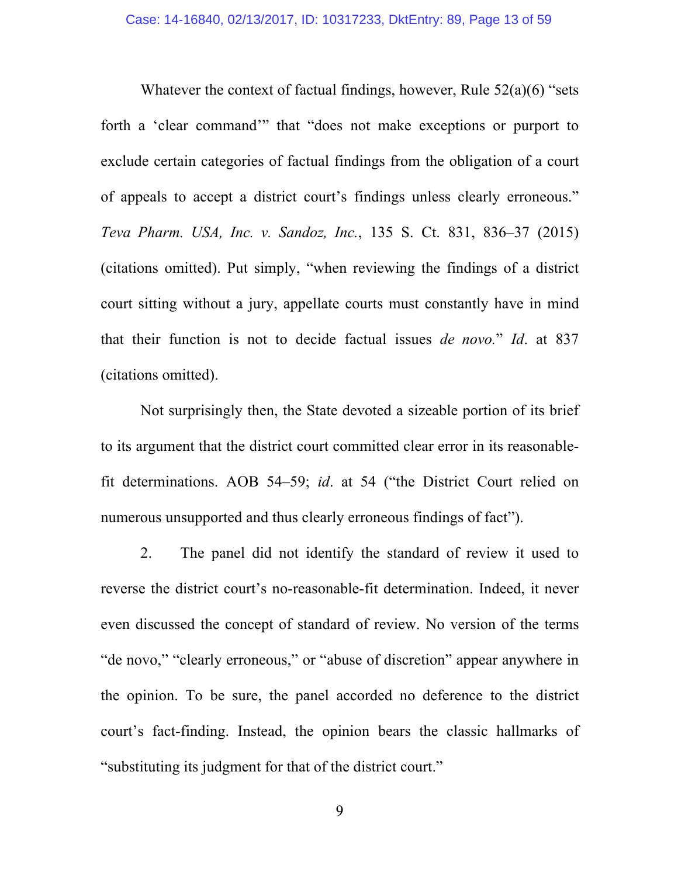Whatever the context of factual findings, however, Rule  $52(a)(6)$  "sets forth a 'clear command'" that "does not make exceptions or purport to exclude certain categories of factual findings from the obligation of a court of appeals to accept a district court's findings unless clearly erroneous." *Teva Pharm. USA, Inc. v. Sandoz, Inc.*, 135 S. Ct. 831, 836–37 (2015) (citations omitted). Put simply, "when reviewing the findings of a district court sitting without a jury, appellate courts must constantly have in mind that their function is not to decide factual issues *de novo.*" *Id*. at 837 (citations omitted).

Not surprisingly then, the State devoted a sizeable portion of its brief to its argument that the district court committed clear error in its reasonablefit determinations. AOB 54–59; *id*. at 54 ("the District Court relied on numerous unsupported and thus clearly erroneous findings of fact".

2. The panel did not identify the standard of review it used to reverse the district court's no-reasonable-fit determination. Indeed, it never even discussed the concept of standard of review. No version of the terms "de novo," "clearly erroneous," or "abuse of discretion" appear anywhere in the opinion. To be sure, the panel accorded no deference to the district court's fact-finding. Instead, the opinion bears the classic hallmarks of "substituting its judgment for that of the district court."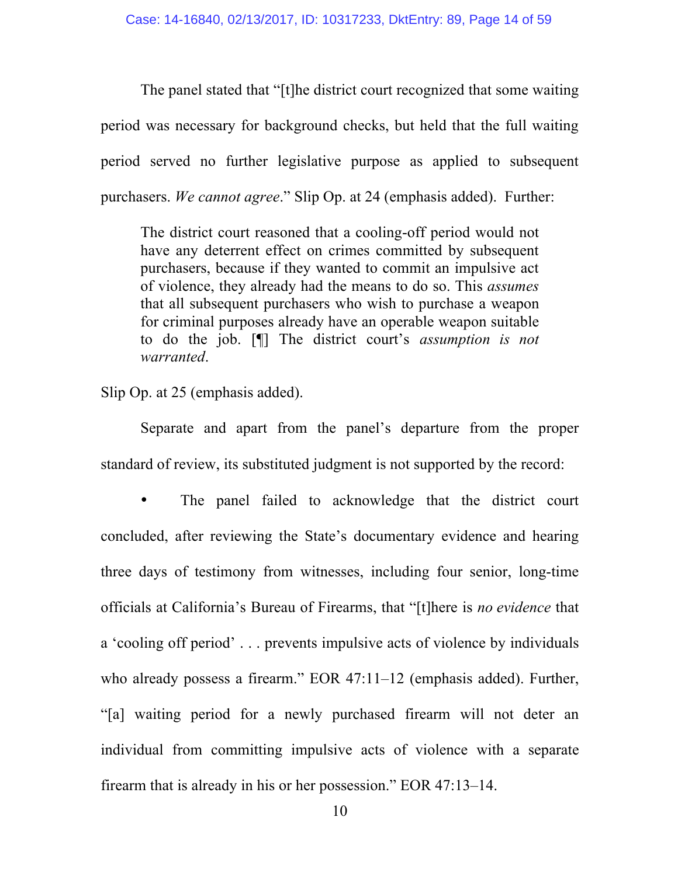The panel stated that "[t]he district court recognized that some waiting period was necessary for background checks, but held that the full waiting period served no further legislative purpose as applied to subsequent purchasers. *We cannot agree*." Slip Op. at 24 (emphasis added). Further:

The district court reasoned that a cooling-off period would not have any deterrent effect on crimes committed by subsequent purchasers, because if they wanted to commit an impulsive act of violence, they already had the means to do so. This *assumes* that all subsequent purchasers who wish to purchase a weapon for criminal purposes already have an operable weapon suitable to do the job. [¶] The district court's *assumption is not warranted*.

Slip Op. at 25 (emphasis added).

Separate and apart from the panel's departure from the proper standard of review, its substituted judgment is not supported by the record:

• The panel failed to acknowledge that the district court concluded, after reviewing the State's documentary evidence and hearing three days of testimony from witnesses, including four senior, long-time officials at California's Bureau of Firearms, that "[t]here is *no evidence* that a 'cooling off period' . . . prevents impulsive acts of violence by individuals who already possess a firearm." EOR 47:11-12 (emphasis added). Further, "[a] waiting period for a newly purchased firearm will not deter an individual from committing impulsive acts of violence with a separate firearm that is already in his or her possession." EOR 47:13–14.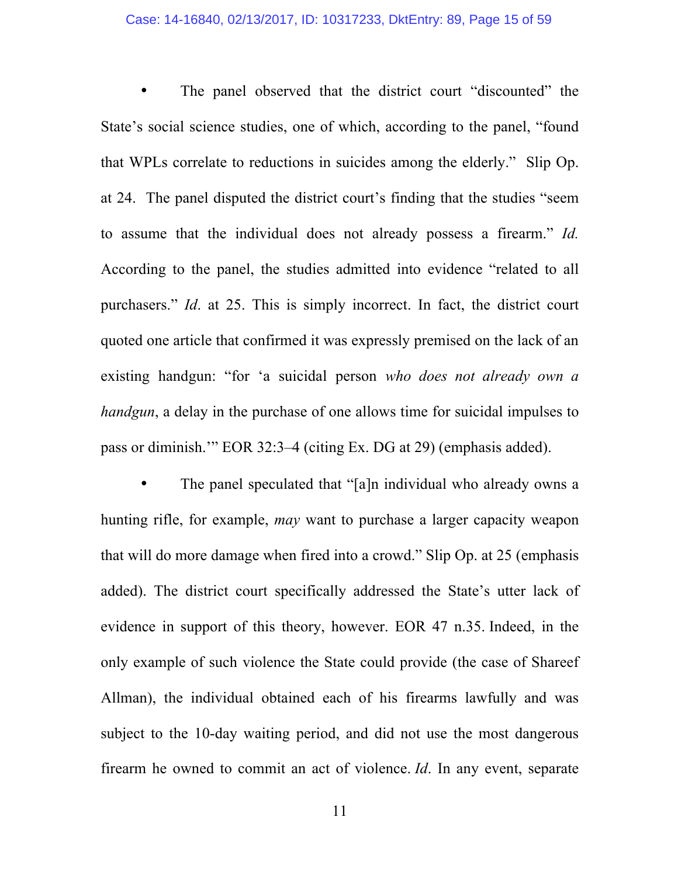## Case: 14-16840, 02/13/2017, ID: 10317233, DktEntry: 89, Page 15 of 59

The panel observed that the district court "discounted" the State's social science studies, one of which, according to the panel, "found that WPLs correlate to reductions in suicides among the elderly." Slip Op. at 24. The panel disputed the district court's finding that the studies "seem to assume that the individual does not already possess a firearm." *Id.* According to the panel, the studies admitted into evidence "related to all purchasers." *Id*. at 25. This is simply incorrect. In fact, the district court quoted one article that confirmed it was expressly premised on the lack of an existing handgun: "for 'a suicidal person *who does not already own a handgun*, a delay in the purchase of one allows time for suicidal impulses to pass or diminish.'" EOR 32:3–4 (citing Ex. DG at 29) (emphasis added).

The panel speculated that "[a]n individual who already owns a hunting rifle, for example, *may* want to purchase a larger capacity weapon that will do more damage when fired into a crowd." Slip Op. at 25 (emphasis added). The district court specifically addressed the State's utter lack of evidence in support of this theory, however. EOR 47 n.35. Indeed, in the only example of such violence the State could provide (the case of Shareef Allman), the individual obtained each of his firearms lawfully and was subject to the 10-day waiting period, and did not use the most dangerous firearm he owned to commit an act of violence. *Id*. In any event, separate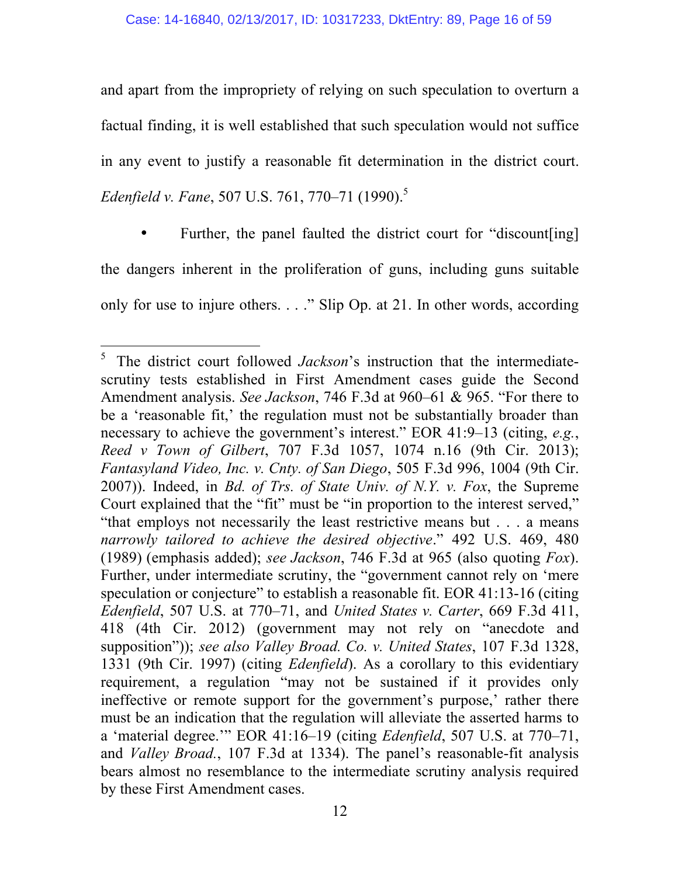and apart from the impropriety of relying on such speculation to overturn a factual finding, it is well established that such speculation would not suffice in any event to justify a reasonable fit determination in the district court. *Edenfield v. Fane*, 507 U.S. 761, 770–71 (1990). 5

Further, the panel faulted the district court for "discount [ing] the dangers inherent in the proliferation of guns, including guns suitable only for use to injure others. . . ." Slip Op. at 21. In other words, according

 <sup>5</sup> The district court followed *Jackson*'s instruction that the intermediatescrutiny tests established in First Amendment cases guide the Second Amendment analysis. *See Jackson*, 746 F.3d at 960–61 & 965. "For there to be a 'reasonable fit,' the regulation must not be substantially broader than necessary to achieve the government's interest." EOR 41:9–13 (citing, *e.g.*, *Reed v Town of Gilbert*, 707 F.3d 1057, 1074 n.16 (9th Cir. 2013); *Fantasyland Video, Inc. v. Cnty. of San Diego*, 505 F.3d 996, 1004 (9th Cir. 2007)). Indeed, in *Bd. of Trs. of State Univ. of N.Y. v. Fox*, the Supreme Court explained that the "fit" must be "in proportion to the interest served," "that employs not necessarily the least restrictive means but . . . a means *narrowly tailored to achieve the desired objective*." 492 U.S. 469, 480 (1989) (emphasis added); *see Jackson*, 746 F.3d at 965 (also quoting *Fox*). Further, under intermediate scrutiny, the "government cannot rely on 'mere speculation or conjecture" to establish a reasonable fit. EOR 41:13-16 (citing *Edenfield*, 507 U.S. at 770–71, and *United States v. Carter*, 669 F.3d 411, 418 (4th Cir. 2012) (government may not rely on "anecdote and supposition")); *see also Valley Broad. Co. v. United States*, 107 F.3d 1328, 1331 (9th Cir. 1997) (citing *Edenfield*). As a corollary to this evidentiary requirement, a regulation "may not be sustained if it provides only ineffective or remote support for the government's purpose,' rather there must be an indication that the regulation will alleviate the asserted harms to a 'material degree.'" EOR 41:16–19 (citing *Edenfield*, 507 U.S. at 770–71, and *Valley Broad.*, 107 F.3d at 1334). The panel's reasonable-fit analysis bears almost no resemblance to the intermediate scrutiny analysis required by these First Amendment cases.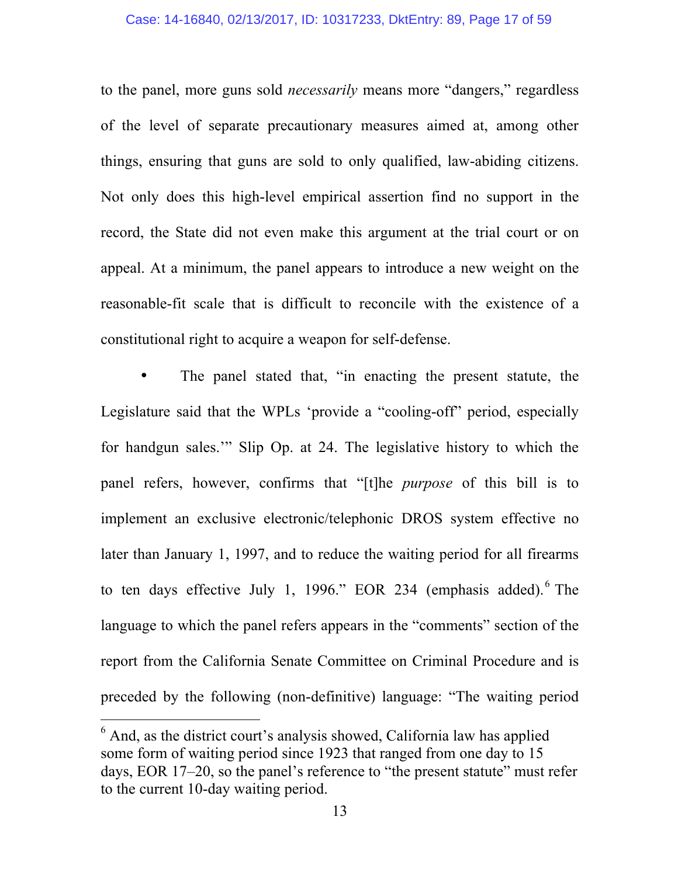## Case: 14-16840, 02/13/2017, ID: 10317233, DktEntry: 89, Page 17 of 59

to the panel, more guns sold *necessarily* means more "dangers," regardless of the level of separate precautionary measures aimed at, among other things, ensuring that guns are sold to only qualified, law-abiding citizens. Not only does this high-level empirical assertion find no support in the record, the State did not even make this argument at the trial court or on appeal. At a minimum, the panel appears to introduce a new weight on the reasonable-fit scale that is difficult to reconcile with the existence of a constitutional right to acquire a weapon for self-defense.

The panel stated that, "in enacting the present statute, the Legislature said that the WPLs 'provide a "cooling-off" period, especially for handgun sales.'" Slip Op. at 24. The legislative history to which the panel refers, however, confirms that "[t]he *purpose* of this bill is to implement an exclusive electronic/telephonic DROS system effective no later than January 1, 1997, and to reduce the waiting period for all firearms to ten days effective July 1, 1996." EOR 234 (emphasis added). $6$  The language to which the panel refers appears in the "comments" section of the report from the California Senate Committee on Criminal Procedure and is preceded by the following (non-definitive) language: "The waiting period

<sup>&</sup>lt;sup>6</sup> And, as the district court's analysis showed, California law has applied some form of waiting period since 1923 that ranged from one day to 15 days, EOR 17–20, so the panel's reference to "the present statute" must refer to the current 10-day waiting period.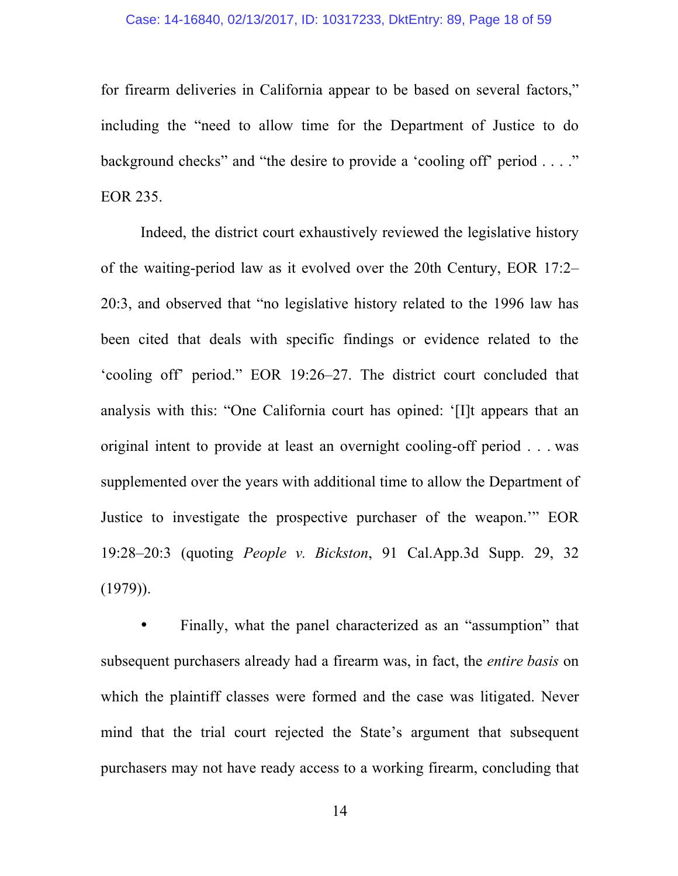## Case: 14-16840, 02/13/2017, ID: 10317233, DktEntry: 89, Page 18 of 59

for firearm deliveries in California appear to be based on several factors," including the "need to allow time for the Department of Justice to do background checks" and "the desire to provide a 'cooling off' period . . . ." EOR 235.

Indeed, the district court exhaustively reviewed the legislative history of the waiting-period law as it evolved over the 20th Century, EOR 17:2– 20:3, and observed that "no legislative history related to the 1996 law has been cited that deals with specific findings or evidence related to the 'cooling off' period." EOR 19:26–27. The district court concluded that analysis with this: "One California court has opined: '[I]t appears that an original intent to provide at least an overnight cooling-off period . . . was supplemented over the years with additional time to allow the Department of Justice to investigate the prospective purchaser of the weapon.'" EOR 19:28–20:3 (quoting *People v. Bickston*, 91 Cal.App.3d Supp. 29, 32  $(1979)$ ).

• Finally, what the panel characterized as an "assumption" that subsequent purchasers already had a firearm was, in fact, the *entire basis* on which the plaintiff classes were formed and the case was litigated. Never mind that the trial court rejected the State's argument that subsequent purchasers may not have ready access to a working firearm, concluding that

14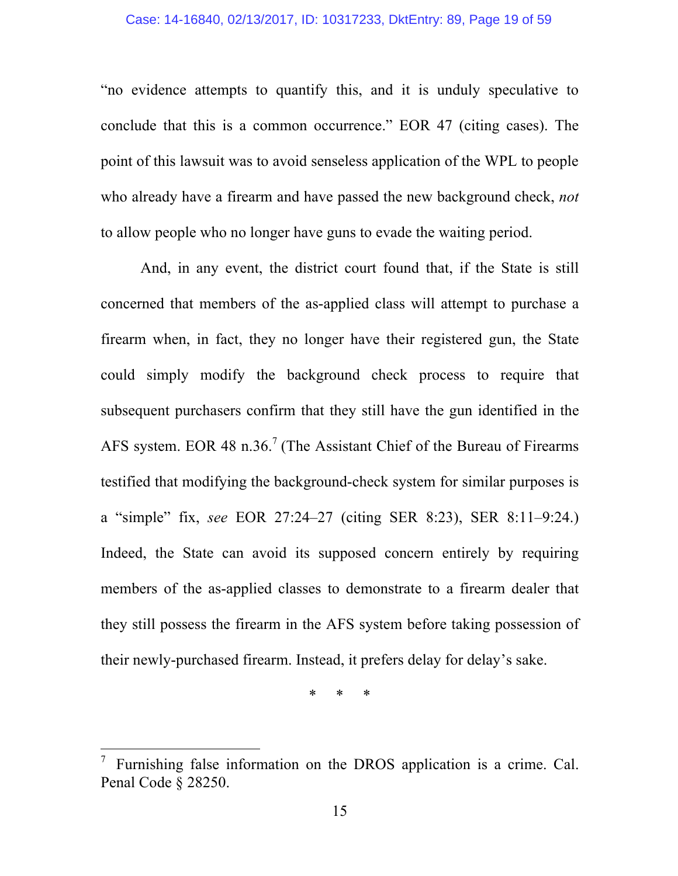## Case: 14-16840, 02/13/2017, ID: 10317233, DktEntry: 89, Page 19 of 59

"no evidence attempts to quantify this, and it is unduly speculative to conclude that this is a common occurrence." EOR 47 (citing cases). The point of this lawsuit was to avoid senseless application of the WPL to people who already have a firearm and have passed the new background check, *not* to allow people who no longer have guns to evade the waiting period.

And, in any event, the district court found that, if the State is still concerned that members of the as-applied class will attempt to purchase a firearm when, in fact, they no longer have their registered gun, the State could simply modify the background check process to require that subsequent purchasers confirm that they still have the gun identified in the AFS system. EOR 48 n.36.<sup>7</sup> (The Assistant Chief of the Bureau of Firearms testified that modifying the background-check system for similar purposes is a "simple" fix, *see* EOR 27:24–27 (citing SER 8:23), SER 8:11–9:24.) Indeed, the State can avoid its supposed concern entirely by requiring members of the as-applied classes to demonstrate to a firearm dealer that they still possess the firearm in the AFS system before taking possession of their newly-purchased firearm. Instead, it prefers delay for delay's sake.

\* \* \*

<sup>—&</sup>lt;br>7 Furnishing false information on the DROS application is a crime. Cal. Penal Code § 28250.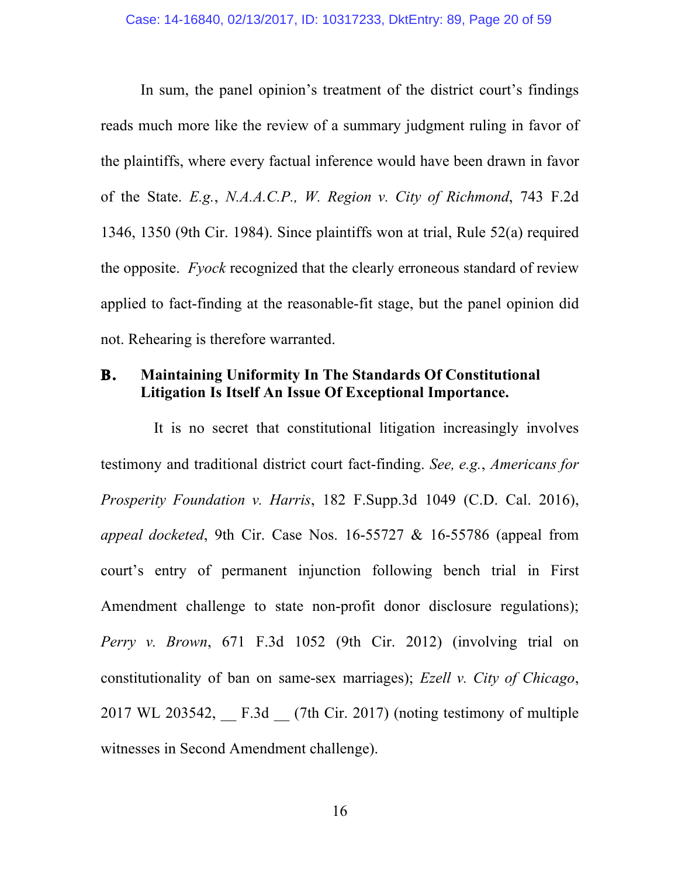In sum, the panel opinion's treatment of the district court's findings reads much more like the review of a summary judgment ruling in favor of the plaintiffs, where every factual inference would have been drawn in favor of the State. *E.g.*, *N.A.A.C.P., W. Region v. City of Richmond*, 743 F.2d 1346, 1350 (9th Cir. 1984). Since plaintiffs won at trial, Rule 52(a) required the opposite. *Fyock* recognized that the clearly erroneous standard of review applied to fact-finding at the reasonable-fit stage, but the panel opinion did not. Rehearing is therefore warranted.

# **B. Maintaining Uniformity In The Standards Of Constitutional Litigation Is Itself An Issue Of Exceptional Importance.**

It is no secret that constitutional litigation increasingly involves testimony and traditional district court fact-finding. *See, e.g.*, *Americans for Prosperity Foundation v. Harris*, 182 F.Supp.3d 1049 (C.D. Cal. 2016), *appeal docketed*, 9th Cir. Case Nos. 16-55727 & 16-55786 (appeal from court's entry of permanent injunction following bench trial in First Amendment challenge to state non-profit donor disclosure regulations); *Perry v. Brown*, 671 F.3d 1052 (9th Cir. 2012) (involving trial on constitutionality of ban on same-sex marriages); *Ezell v. City of Chicago*,  $2017$  WL  $203542$ , F.3d  $(7th Cir. 2017)$  (noting testimony of multiple witnesses in Second Amendment challenge).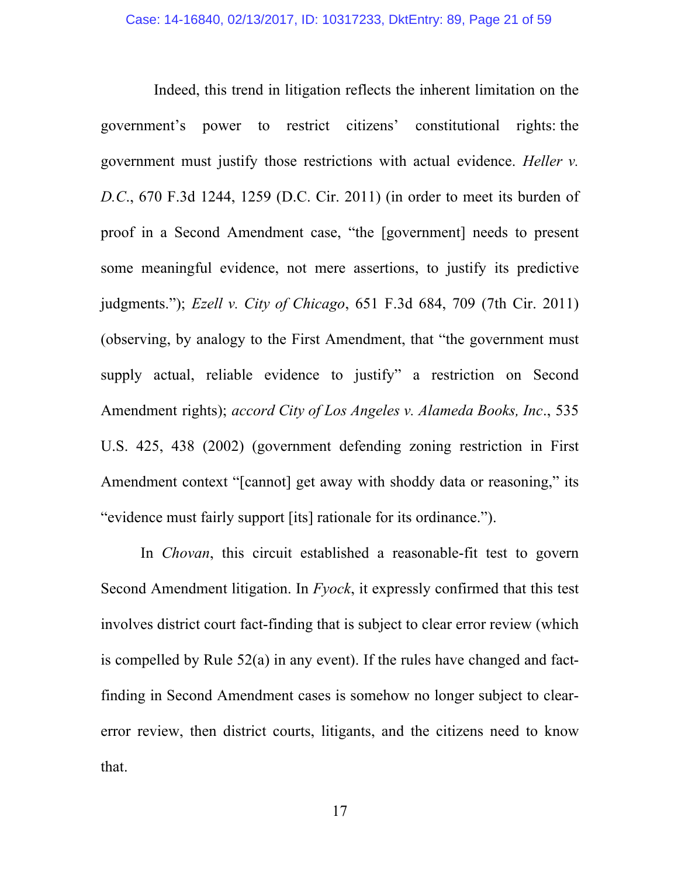Indeed, this trend in litigation reflects the inherent limitation on the government's power to restrict citizens' constitutional rights: the government must justify those restrictions with actual evidence. *Heller v. D.C*., 670 F.3d 1244, 1259 (D.C. Cir. 2011) (in order to meet its burden of proof in a Second Amendment case, "the [government] needs to present some meaningful evidence, not mere assertions, to justify its predictive judgments."); *Ezell v. City of Chicago*, 651 F.3d 684, 709 (7th Cir. 2011) (observing, by analogy to the First Amendment, that "the government must supply actual, reliable evidence to justify" a restriction on Second Amendment rights); *accord City of Los Angeles v. Alameda Books, Inc*., 535 U.S. 425, 438 (2002) (government defending zoning restriction in First Amendment context "[cannot] get away with shoddy data or reasoning," its "evidence must fairly support [its] rationale for its ordinance.").

In *Chovan*, this circuit established a reasonable-fit test to govern Second Amendment litigation. In *Fyock*, it expressly confirmed that this test involves district court fact-finding that is subject to clear error review (which is compelled by Rule 52(a) in any event). If the rules have changed and factfinding in Second Amendment cases is somehow no longer subject to clearerror review, then district courts, litigants, and the citizens need to know that.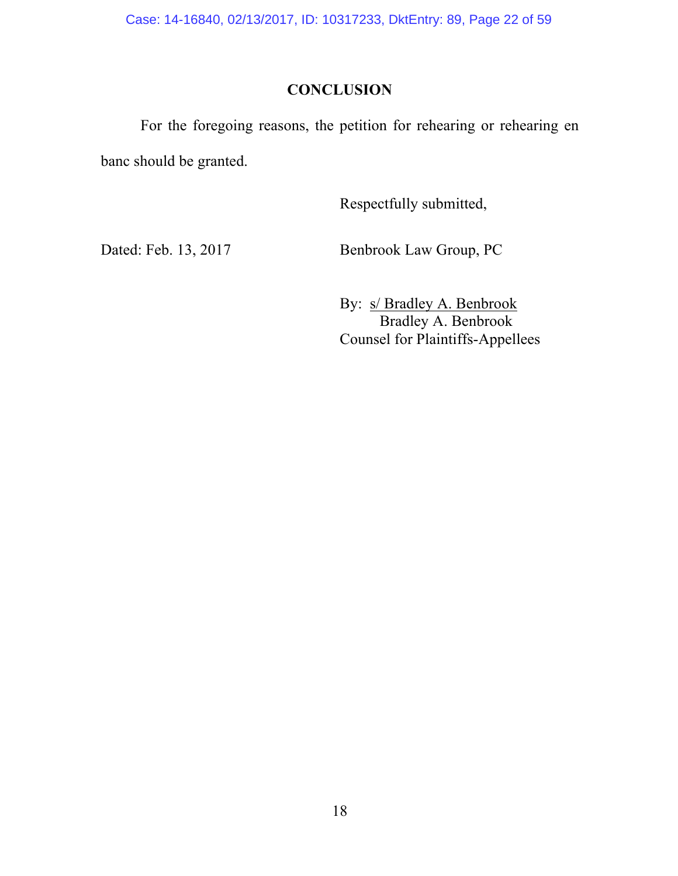Case: 14-16840, 02/13/2017, ID: 10317233, DktEntry: 89, Page 22 of 59

# **CONCLUSION**

For the foregoing reasons, the petition for rehearing or rehearing en banc should be granted.

Respectfully submitted,

Dated: Feb. 13, 2017 Benbrook Law Group, PC

By: s/ Bradley A. Benbrook Bradley A. Benbrook Counsel for Plaintiffs-Appellees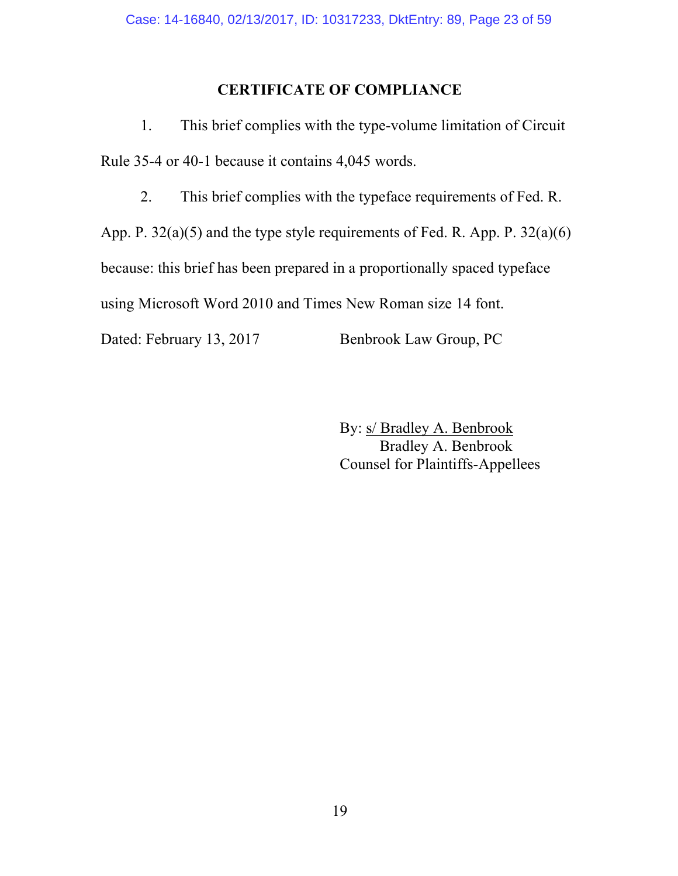# **CERTIFICATE OF COMPLIANCE**

1. This brief complies with the type-volume limitation of Circuit Rule 35-4 or 40-1 because it contains 4,045 words.

2. This brief complies with the typeface requirements of Fed. R.

App. P. 32(a)(5) and the type style requirements of Fed. R. App. P. 32(a)(6)

because: this brief has been prepared in a proportionally spaced typeface

using Microsoft Word 2010 and Times New Roman size 14 font.

Dated: February 13, 2017 Benbrook Law Group, PC

By: s/ Bradley A. Benbrook Bradley A. Benbrook Counsel for Plaintiffs-Appellees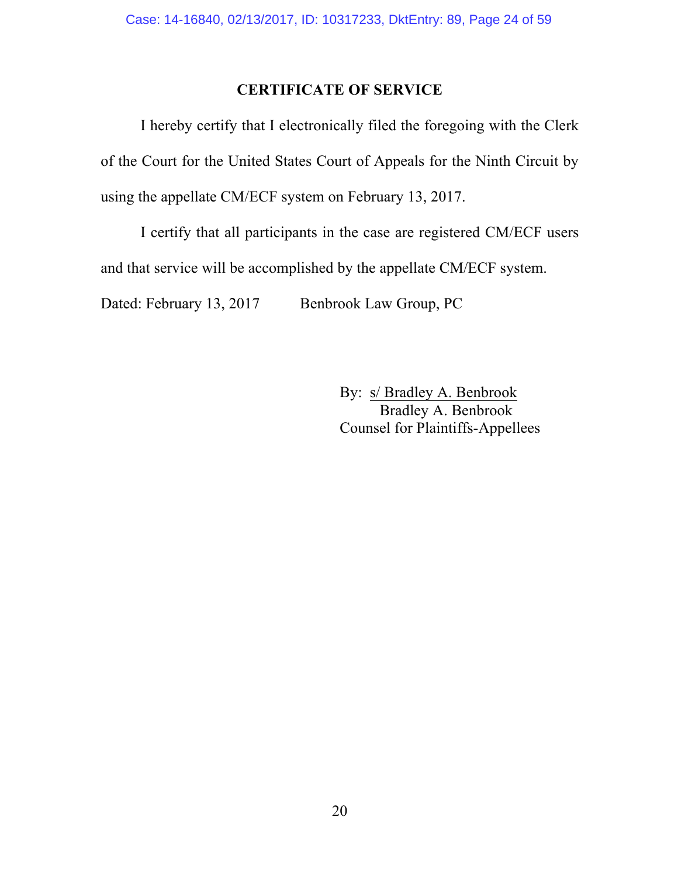# **CERTIFICATE OF SERVICE**

I hereby certify that I electronically filed the foregoing with the Clerk of the Court for the United States Court of Appeals for the Ninth Circuit by using the appellate CM/ECF system on February 13, 2017.

I certify that all participants in the case are registered CM/ECF users and that service will be accomplished by the appellate CM/ECF system. Dated: February 13, 2017 Benbrook Law Group, PC

> By: s/ Bradley A. Benbrook Bradley A. Benbrook Counsel for Plaintiffs-Appellees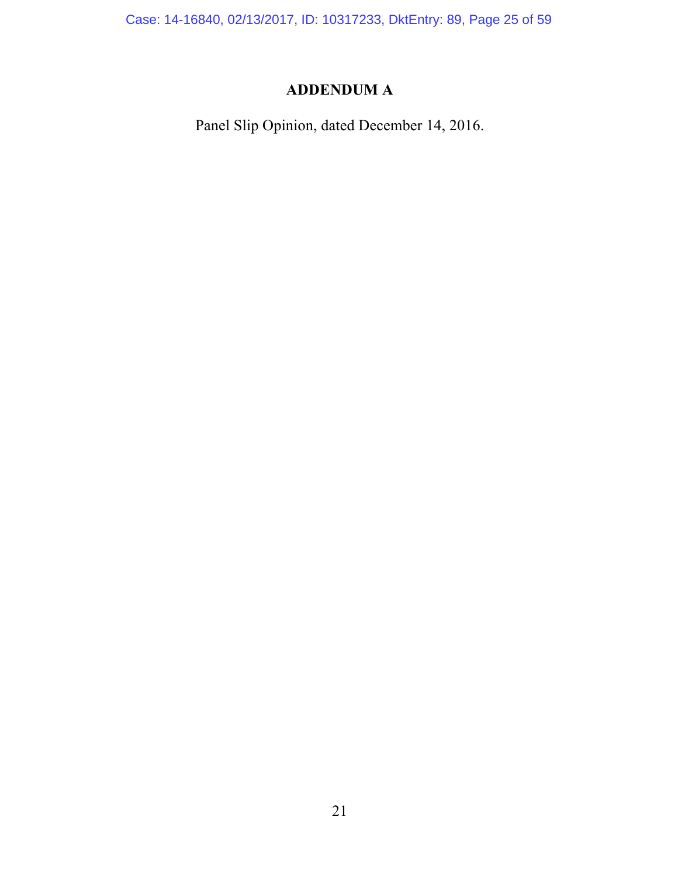Case: 14-16840, 02/13/2017, ID: 10317233, DktEntry: 89, Page 25 of 59

# **ADDENDUM A**

Panel Slip Opinion, dated December 14, 2016.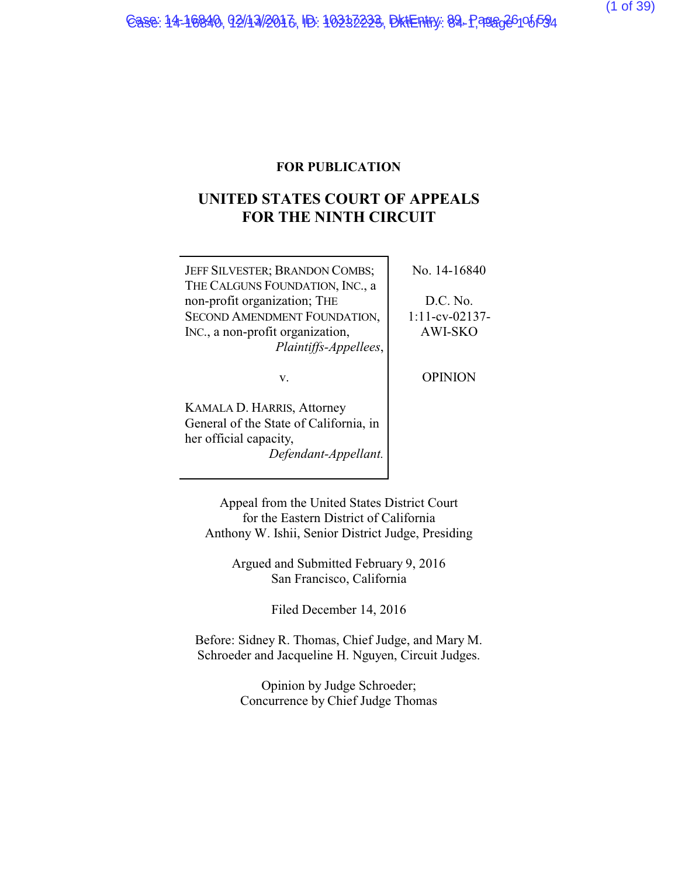## **FOR PUBLICATION**

# **UNITED STATES COURT OF APPEALS FOR THE NINTH CIRCUIT**

| JEFF SILVESTER; BRANDON COMBS;   |  |
|----------------------------------|--|
| THE CALGUNS FOUNDATION, INC., a  |  |
| non-profit organization; THE     |  |
| SECOND AMENDMENT FOUNDATION,     |  |
| INC., a non-profit organization, |  |
| Plaintiffs-Appellees,            |  |
|                                  |  |

v.

KAMALA D. HARRIS, Attorney General of the State of California, in her official capacity, *Defendant-Appellant.* No. 14-16840

D.C. No. 1:11-cv-02137- AWI-SKO

**OPINION** 

Appeal from the United States District Court for the Eastern District of California Anthony W. Ishii, Senior District Judge, Presiding

> Argued and Submitted February 9, 2016 San Francisco, California

> > Filed December 14, 2016

Before: Sidney R. Thomas, Chief Judge, and Mary M. Schroeder and Jacqueline H. Nguyen, Circuit Judges.

> Opinion by Judge Schroeder; Concurrence by Chief Judge Thomas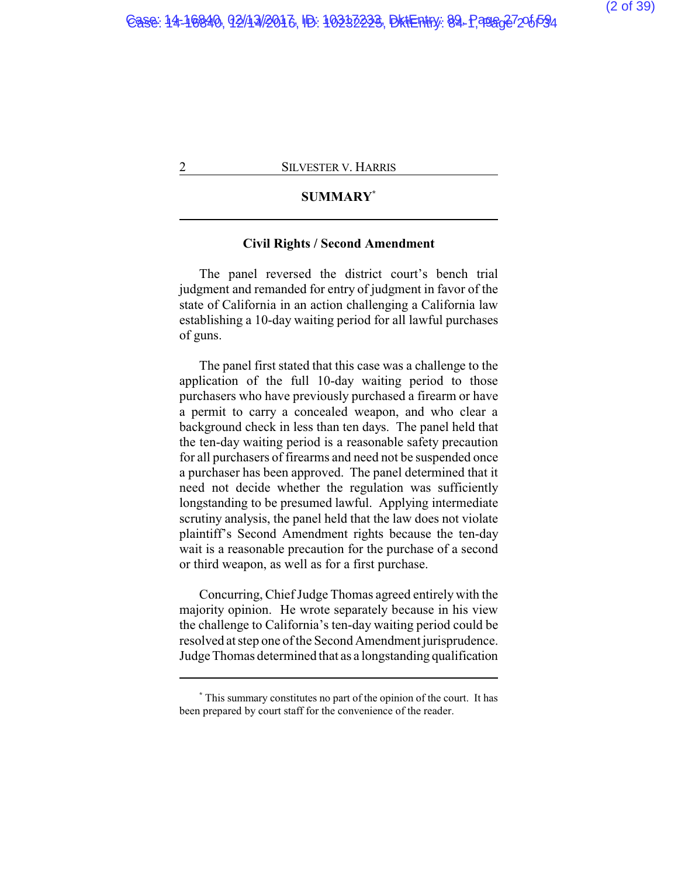# **SUMMARY\***

## **Civil Rights / Second Amendment**

The panel reversed the district court's bench trial judgment and remanded for entry of judgment in favor of the state of California in an action challenging a California law establishing a 10-day waiting period for all lawful purchases of guns.

The panel first stated that this case was a challenge to the application of the full 10-day waiting period to those purchasers who have previously purchased a firearm or have a permit to carry a concealed weapon, and who clear a background check in less than ten days. The panel held that the ten-day waiting period is a reasonable safety precaution for all purchasers of firearms and need not be suspended once a purchaser has been approved. The panel determined that it need not decide whether the regulation was sufficiently longstanding to be presumed lawful. Applying intermediate scrutiny analysis, the panel held that the law does not violate plaintiff's Second Amendment rights because the ten-day wait is a reasonable precaution for the purchase of a second or third weapon, as well as for a first purchase.

Concurring, Chief Judge Thomas agreed entirely with the majority opinion. He wrote separately because in his view the challenge to California's ten-day waiting period could be resolved at step one of the Second Amendment jurisprudence. Judge Thomas determined that as a longstanding qualification

**<sup>\*</sup>** This summary constitutes no part of the opinion of the court. It has been prepared by court staff for the convenience of the reader.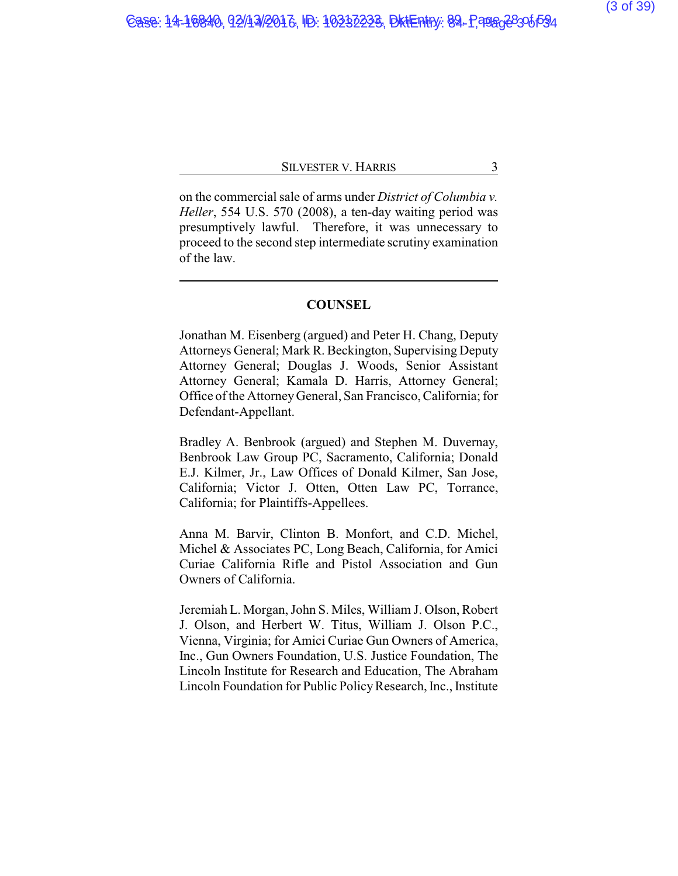on the commercial sale of arms under *District of Columbia v. Heller*, 554 U.S. 570 (2008), a ten-day waiting period was presumptively lawful. Therefore, it was unnecessary to proceed to the second step intermediate scrutiny examination of the law.

## **COUNSEL**

Jonathan M. Eisenberg (argued) and Peter H. Chang, Deputy Attorneys General; Mark R. Beckington, Supervising Deputy Attorney General; Douglas J. Woods, Senior Assistant Attorney General; Kamala D. Harris, Attorney General; Office of the AttorneyGeneral, San Francisco, California; for Defendant-Appellant.

Bradley A. Benbrook (argued) and Stephen M. Duvernay, Benbrook Law Group PC, Sacramento, California; Donald E.J. Kilmer, Jr., Law Offices of Donald Kilmer, San Jose, California; Victor J. Otten, Otten Law PC, Torrance, California; for Plaintiffs-Appellees.

Anna M. Barvir, Clinton B. Monfort, and C.D. Michel, Michel & Associates PC, Long Beach, California, for Amici Curiae California Rifle and Pistol Association and Gun Owners of California.

Jeremiah L. Morgan, John S. Miles, William J. Olson, Robert J. Olson, and Herbert W. Titus, William J. Olson P.C., Vienna, Virginia; for Amici Curiae Gun Owners of America, Inc., Gun Owners Foundation, U.S. Justice Foundation, The Lincoln Institute for Research and Education, The Abraham Lincoln Foundation for Public Policy Research, Inc., Institute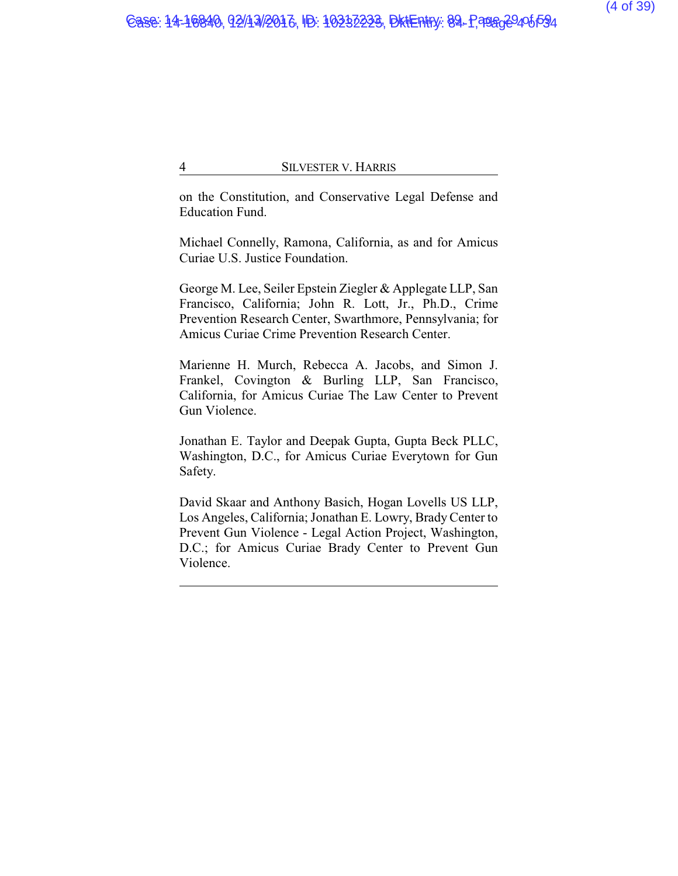on the Constitution, and Conservative Legal Defense and Education Fund.

Michael Connelly, Ramona, California, as and for Amicus Curiae U.S. Justice Foundation.

George M. Lee, Seiler Epstein Ziegler & Applegate LLP, San Francisco, California; John R. Lott, Jr., Ph.D., Crime Prevention Research Center, Swarthmore, Pennsylvania; for Amicus Curiae Crime Prevention Research Center.

Marienne H. Murch, Rebecca A. Jacobs, and Simon J. Frankel, Covington & Burling LLP, San Francisco, California, for Amicus Curiae The Law Center to Prevent Gun Violence.

Jonathan E. Taylor and Deepak Gupta, Gupta Beck PLLC, Washington, D.C., for Amicus Curiae Everytown for Gun Safety.

David Skaar and Anthony Basich, Hogan Lovells US LLP, Los Angeles, California; Jonathan E. Lowry, BradyCenter to Prevent Gun Violence - Legal Action Project, Washington, D.C.; for Amicus Curiae Brady Center to Prevent Gun Violence.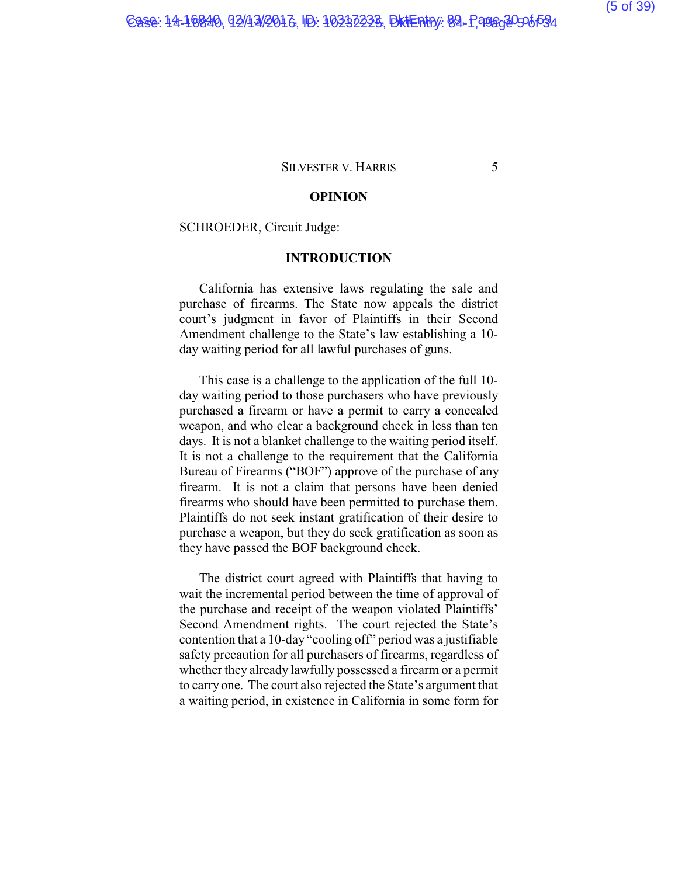### **OPINION**

SCHROEDER, Circuit Judge:

## **INTRODUCTION**

California has extensive laws regulating the sale and purchase of firearms. The State now appeals the district court's judgment in favor of Plaintiffs in their Second Amendment challenge to the State's law establishing a 10 day waiting period for all lawful purchases of guns.

This case is a challenge to the application of the full 10 day waiting period to those purchasers who have previously purchased a firearm or have a permit to carry a concealed weapon, and who clear a background check in less than ten days. It is not a blanket challenge to the waiting period itself. It is not a challenge to the requirement that the California Bureau of Firearms ("BOF") approve of the purchase of any firearm. It is not a claim that persons have been denied firearms who should have been permitted to purchase them. Plaintiffs do not seek instant gratification of their desire to purchase a weapon, but they do seek gratification as soon as they have passed the BOF background check.

The district court agreed with Plaintiffs that having to wait the incremental period between the time of approval of the purchase and receipt of the weapon violated Plaintiffs' Second Amendment rights. The court rejected the State's contention that a 10-day "cooling off" period was a justifiable safety precaution for all purchasers of firearms, regardless of whether they already lawfully possessed a firearm or a permit to carryone. The court also rejected the State's argument that a waiting period, in existence in California in some form for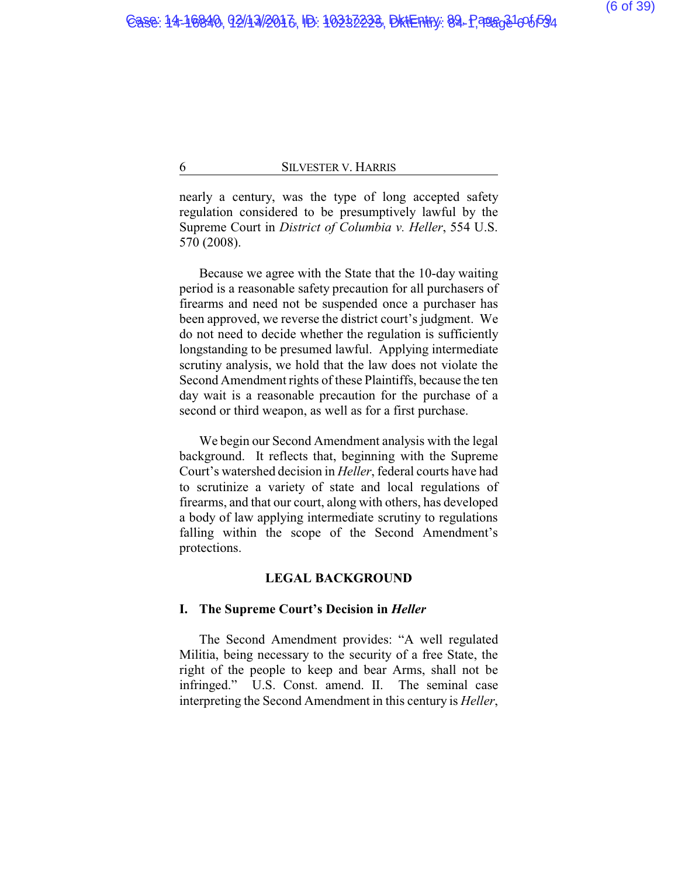nearly a century, was the type of long accepted safety regulation considered to be presumptively lawful by the Supreme Court in *District of Columbia v. Heller*, 554 U.S. 570 (2008).

Because we agree with the State that the 10-day waiting period is a reasonable safety precaution for all purchasers of firearms and need not be suspended once a purchaser has been approved, we reverse the district court's judgment. We do not need to decide whether the regulation is sufficiently longstanding to be presumed lawful. Applying intermediate scrutiny analysis, we hold that the law does not violate the Second Amendment rights of these Plaintiffs, because the ten day wait is a reasonable precaution for the purchase of a second or third weapon, as well as for a first purchase.

We begin our Second Amendment analysis with the legal background. It reflects that, beginning with the Supreme Court's watershed decision in *Heller*, federal courts have had to scrutinize a variety of state and local regulations of firearms, and that our court, along with others, has developed a body of law applying intermediate scrutiny to regulations falling within the scope of the Second Amendment's protections.

## **LEGAL BACKGROUND**

#### **I. The Supreme Court's Decision in** *Heller*

The Second Amendment provides: "A well regulated Militia, being necessary to the security of a free State, the right of the people to keep and bear Arms, shall not be infringed." U.S. Const. amend. II. The seminal case interpreting the Second Amendment in this century is *Heller*,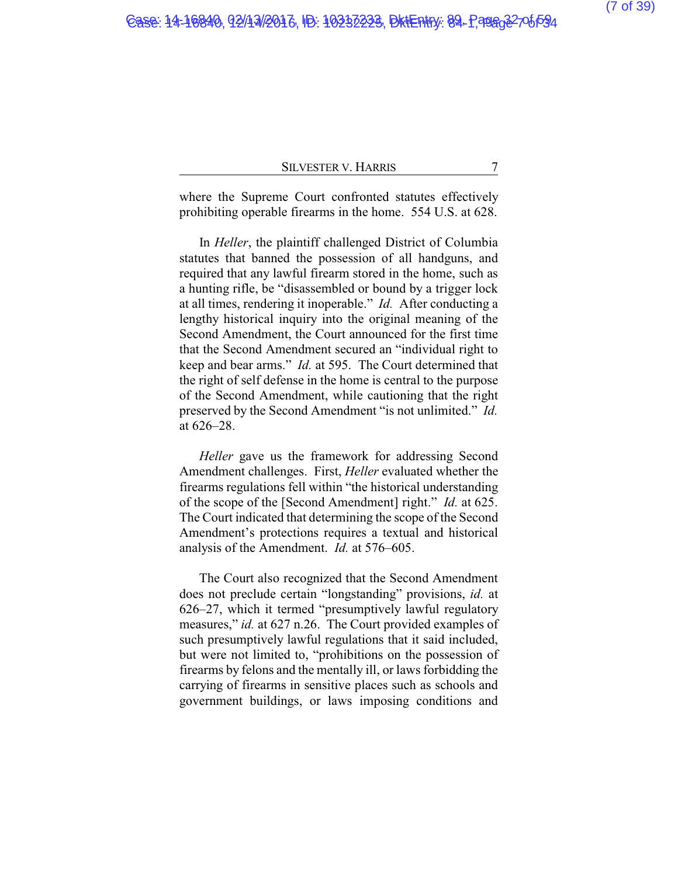where the Supreme Court confronted statutes effectively prohibiting operable firearms in the home. 554 U.S. at 628.

In *Heller*, the plaintiff challenged District of Columbia statutes that banned the possession of all handguns, and required that any lawful firearm stored in the home, such as a hunting rifle, be "disassembled or bound by a trigger lock at all times, rendering it inoperable." *Id.* After conducting a lengthy historical inquiry into the original meaning of the Second Amendment, the Court announced for the first time that the Second Amendment secured an "individual right to keep and bear arms." *Id.* at 595. The Court determined that the right of self defense in the home is central to the purpose of the Second Amendment, while cautioning that the right preserved by the Second Amendment "is not unlimited." *Id.* at 626–28.

*Heller* gave us the framework for addressing Second Amendment challenges. First, *Heller* evaluated whether the firearms regulations fell within "the historical understanding of the scope of the [Second Amendment] right." *Id.* at 625. The Court indicated that determining the scope of the Second Amendment's protections requires a textual and historical analysis of the Amendment. *Id.* at 576–605.

The Court also recognized that the Second Amendment does not preclude certain "longstanding" provisions, *id.* at 626–27, which it termed "presumptively lawful regulatory measures," *id.* at 627 n.26. The Court provided examples of such presumptively lawful regulations that it said included, but were not limited to, "prohibitions on the possession of firearms by felons and the mentally ill, or laws forbidding the carrying of firearms in sensitive places such as schools and government buildings, or laws imposing conditions and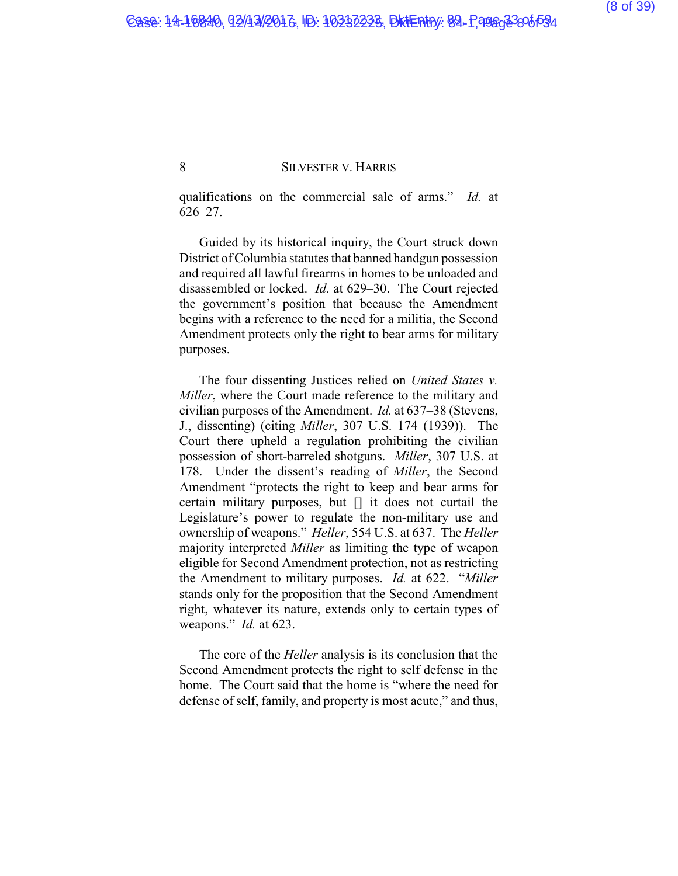qualifications on the commercial sale of arms." *Id.* at 626–27.

Guided by its historical inquiry, the Court struck down District of Columbia statutes that banned handgun possession and required all lawful firearms in homes to be unloaded and disassembled or locked. *Id.* at 629–30. The Court rejected the government's position that because the Amendment begins with a reference to the need for a militia, the Second Amendment protects only the right to bear arms for military purposes.

The four dissenting Justices relied on *United States v. Miller*, where the Court made reference to the military and civilian purposes of the Amendment. *Id.* at 637–38 (Stevens, J., dissenting) (citing *Miller*, 307 U.S. 174 (1939)). The Court there upheld a regulation prohibiting the civilian possession of short-barreled shotguns. *Miller*, 307 U.S. at 178. Under the dissent's reading of *Miller*, the Second Amendment "protects the right to keep and bear arms for certain military purposes, but [] it does not curtail the Legislature's power to regulate the non-military use and ownership of weapons." *Heller*, 554 U.S. at 637. The *Heller* majority interpreted *Miller* as limiting the type of weapon eligible for Second Amendment protection, not as restricting the Amendment to military purposes. *Id.* at 622. "*Miller* stands only for the proposition that the Second Amendment right, whatever its nature, extends only to certain types of weapons." *Id.* at 623.

The core of the *Heller* analysis is its conclusion that the Second Amendment protects the right to self defense in the home. The Court said that the home is "where the need for defense of self, family, and property is most acute," and thus,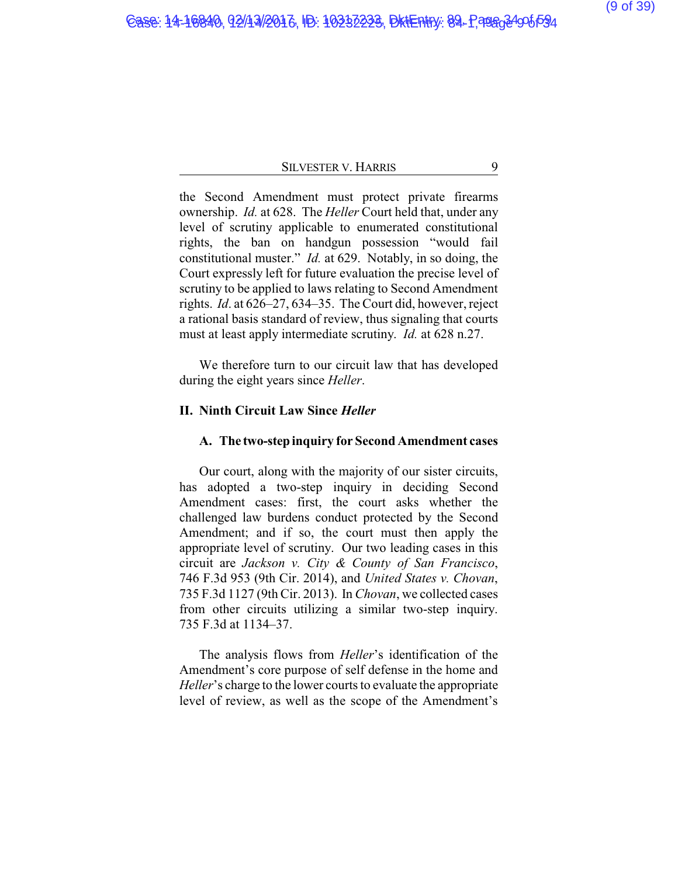the Second Amendment must protect private firearms ownership. *Id.* at 628. The *Heller* Court held that, under any level of scrutiny applicable to enumerated constitutional rights, the ban on handgun possession "would fail constitutional muster." *Id.* at 629. Notably, in so doing, the Court expressly left for future evaluation the precise level of scrutiny to be applied to laws relating to Second Amendment rights. *Id*. at 626–27, 634–35. The Court did, however, reject a rational basis standard of review, thus signaling that courts must at least apply intermediate scrutiny. *Id.* at 628 n.27.

We therefore turn to our circuit law that has developed during the eight years since *Heller*.

## **II. Ninth Circuit Law Since** *Heller*

### **A. The two-step inquiry for Second Amendment cases**

Our court, along with the majority of our sister circuits, has adopted a two-step inquiry in deciding Second Amendment cases: first, the court asks whether the challenged law burdens conduct protected by the Second Amendment; and if so, the court must then apply the appropriate level of scrutiny. Our two leading cases in this circuit are *Jackson v. City & County of San Francisco*, 746 F.3d 953 (9th Cir. 2014), and *United States v. Chovan*, 735 F.3d 1127 (9th Cir. 2013). In *Chovan*, we collected cases from other circuits utilizing a similar two-step inquiry. 735 F.3d at 1134–37.

The analysis flows from *Heller*'s identification of the Amendment's core purpose of self defense in the home and *Heller*'s charge to the lower courts to evaluate the appropriate level of review, as well as the scope of the Amendment's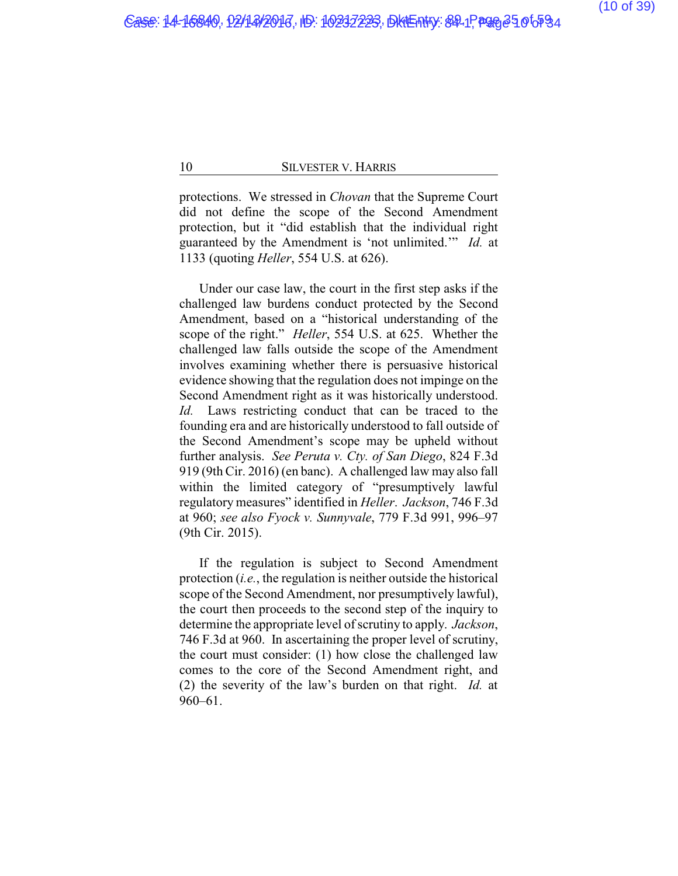protections. We stressed in *Chovan* that the Supreme Court did not define the scope of the Second Amendment protection, but it "did establish that the individual right guaranteed by the Amendment is 'not unlimited.'" *Id.* at 1133 (quoting *Heller*, 554 U.S. at 626).

Under our case law, the court in the first step asks if the challenged law burdens conduct protected by the Second Amendment, based on a "historical understanding of the scope of the right." *Heller*, 554 U.S. at 625. Whether the challenged law falls outside the scope of the Amendment involves examining whether there is persuasive historical evidence showing that the regulation does not impinge on the Second Amendment right as it was historically understood. *Id.* Laws restricting conduct that can be traced to the founding era and are historically understood to fall outside of the Second Amendment's scope may be upheld without further analysis. *See Peruta v. Cty. of San Diego*, 824 F.3d 919 (9th Cir. 2016) (en banc). A challenged law may also fall within the limited category of "presumptively lawful regulatory measures" identified in *Heller*. *Jackson*, 746 F.3d at 960; *see also Fyock v. Sunnyvale*, 779 F.3d 991, 996–97 (9th Cir. 2015).

If the regulation is subject to Second Amendment protection (*i.e.*, the regulation is neither outside the historical scope of the Second Amendment, nor presumptively lawful), the court then proceeds to the second step of the inquiry to determine the appropriate level of scrutiny to apply. *Jackson*, 746 F.3d at 960. In ascertaining the proper level of scrutiny, the court must consider: (1) how close the challenged law comes to the core of the Second Amendment right, and (2) the severity of the law's burden on that right. *Id.* at 960–61.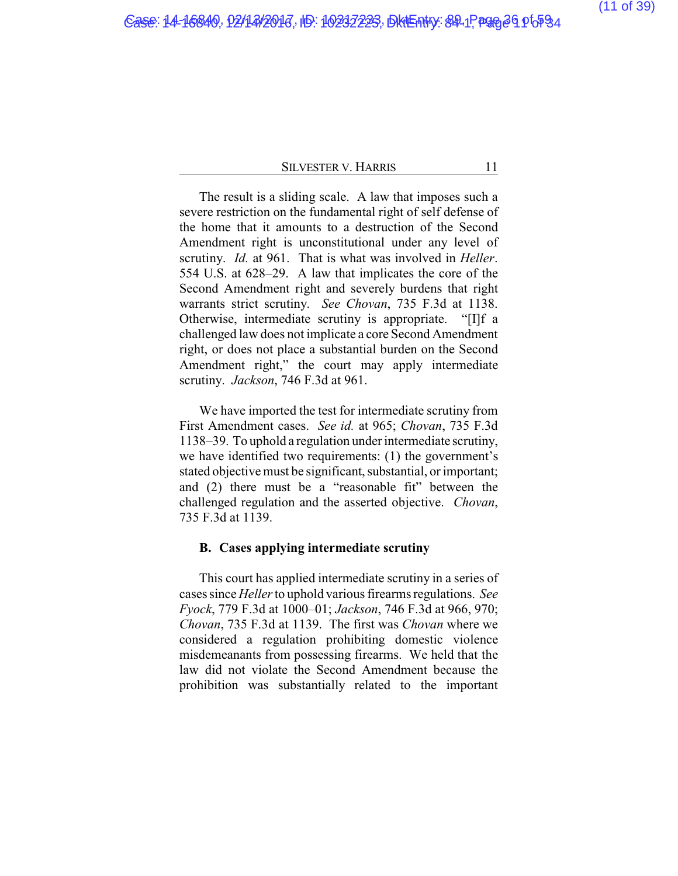The result is a sliding scale. A law that imposes such a severe restriction on the fundamental right of self defense of the home that it amounts to a destruction of the Second Amendment right is unconstitutional under any level of scrutiny. *Id.* at 961. That is what was involved in *Heller*. 554 U.S. at 628–29. A law that implicates the core of the Second Amendment right and severely burdens that right warrants strict scrutiny. *See Chovan*, 735 F.3d at 1138. Otherwise, intermediate scrutiny is appropriate. "[I]f a challenged law does not implicate a core Second Amendment right, or does not place a substantial burden on the Second Amendment right," the court may apply intermediate scrutiny. *Jackson*, 746 F.3d at 961.

We have imported the test for intermediate scrutiny from First Amendment cases. *See id.* at 965; *Chovan*, 735 F.3d 1138–39. To uphold a regulation under intermediate scrutiny, we have identified two requirements: (1) the government's stated objective must be significant, substantial, or important; and (2) there must be a "reasonable fit" between the challenged regulation and the asserted objective. *Chovan*, 735 F.3d at 1139.

### **B. Cases applying intermediate scrutiny**

This court has applied intermediate scrutiny in a series of cases since *Heller*to uphold various firearms regulations. *See Fyock*, 779 F.3d at 1000–01; *Jackson*, 746 F.3d at 966, 970; *Chovan*, 735 F.3d at 1139. The first was *Chovan* where we considered a regulation prohibiting domestic violence misdemeanants from possessing firearms. We held that the law did not violate the Second Amendment because the prohibition was substantially related to the important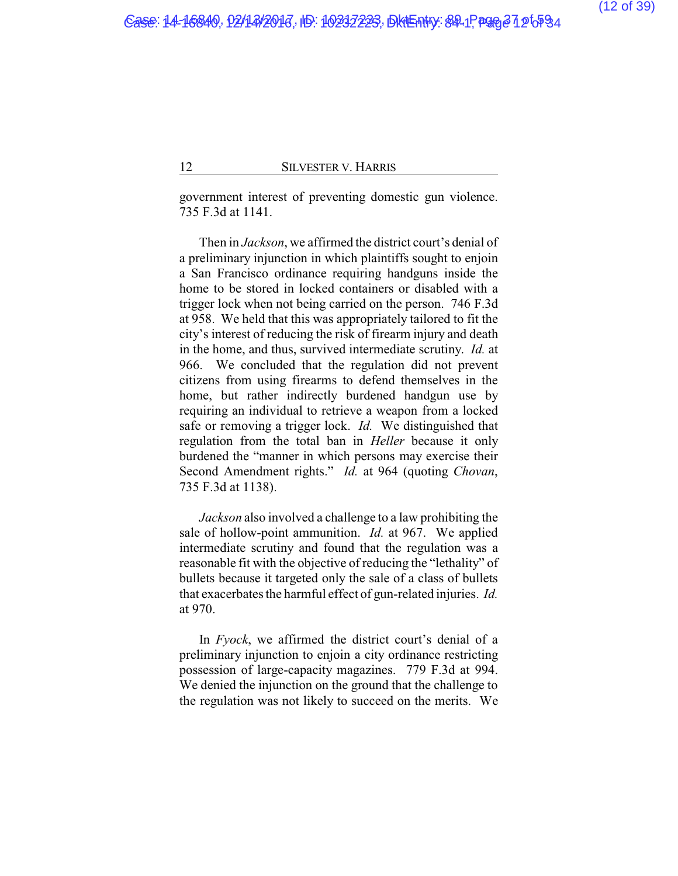government interest of preventing domestic gun violence. 735 F.3d at 1141.

Then in *Jackson*, we affirmed the district court's denial of a preliminary injunction in which plaintiffs sought to enjoin a San Francisco ordinance requiring handguns inside the home to be stored in locked containers or disabled with a trigger lock when not being carried on the person. 746 F.3d at 958. We held that this was appropriately tailored to fit the city's interest of reducing the risk of firearm injury and death in the home, and thus, survived intermediate scrutiny. *Id.* at 966. We concluded that the regulation did not prevent citizens from using firearms to defend themselves in the home, but rather indirectly burdened handgun use by requiring an individual to retrieve a weapon from a locked safe or removing a trigger lock. *Id.* We distinguished that regulation from the total ban in *Heller* because it only burdened the "manner in which persons may exercise their Second Amendment rights." *Id.* at 964 (quoting *Chovan*, 735 F.3d at 1138).

*Jackson* also involved a challenge to a law prohibiting the sale of hollow-point ammunition. *Id.* at 967. We applied intermediate scrutiny and found that the regulation was a reasonable fit with the objective of reducing the "lethality" of bullets because it targeted only the sale of a class of bullets that exacerbates the harmful effect of gun-related injuries. *Id.* at 970.

In *Fyock*, we affirmed the district court's denial of a preliminary injunction to enjoin a city ordinance restricting possession of large-capacity magazines. 779 F.3d at 994. We denied the injunction on the ground that the challenge to the regulation was not likely to succeed on the merits. We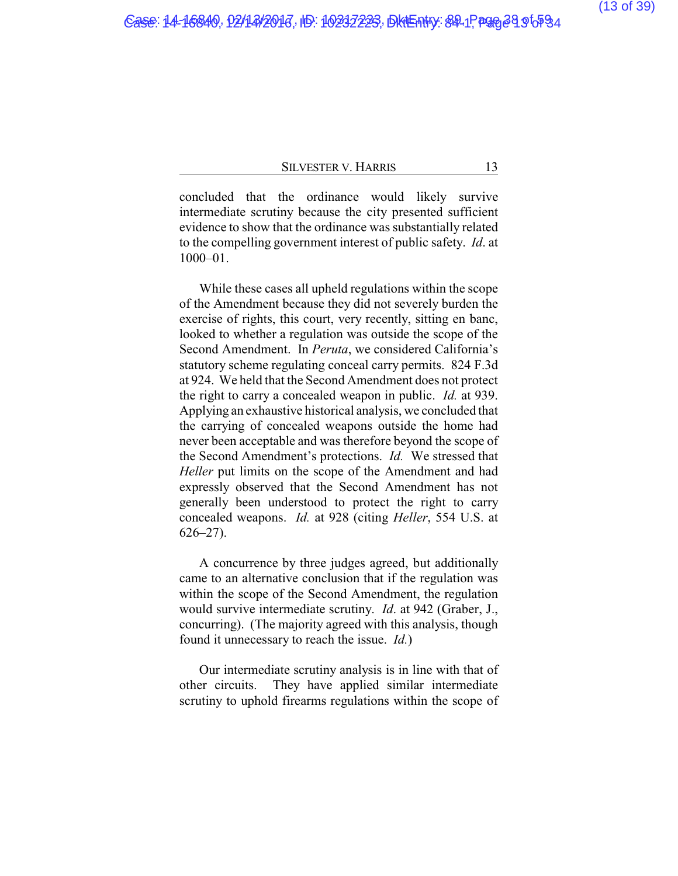concluded that the ordinance would likely survive intermediate scrutiny because the city presented sufficient evidence to show that the ordinance was substantially related to the compelling government interest of public safety. *Id*. at 1000–01.

While these cases all upheld regulations within the scope of the Amendment because they did not severely burden the exercise of rights, this court, very recently, sitting en banc, looked to whether a regulation was outside the scope of the Second Amendment. In *Peruta*, we considered California's statutory scheme regulating conceal carry permits. 824 F.3d at 924. We held that the Second Amendment does not protect the right to carry a concealed weapon in public. *Id.* at 939. Applying an exhaustive historical analysis, we concluded that the carrying of concealed weapons outside the home had never been acceptable and was therefore beyond the scope of the Second Amendment's protections. *Id.* We stressed that *Heller* put limits on the scope of the Amendment and had expressly observed that the Second Amendment has not generally been understood to protect the right to carry concealed weapons. *Id.* at 928 (citing *Heller*, 554 U.S. at 626–27).

A concurrence by three judges agreed, but additionally came to an alternative conclusion that if the regulation was within the scope of the Second Amendment, the regulation would survive intermediate scrutiny. *Id*. at 942 (Graber, J., concurring). (The majority agreed with this analysis, though found it unnecessary to reach the issue. *Id.*)

Our intermediate scrutiny analysis is in line with that of other circuits. They have applied similar intermediate scrutiny to uphold firearms regulations within the scope of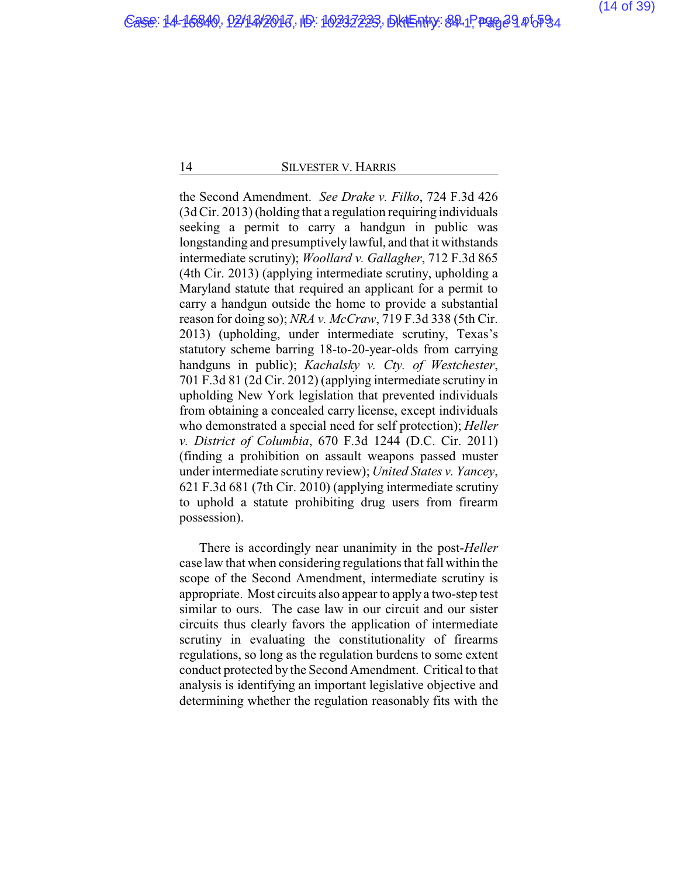the Second Amendment. *See Drake v. Filko*, 724 F.3d 426 (3d Cir. 2013) (holding that a regulation requiring individuals seeking a permit to carry a handgun in public was longstanding and presumptively lawful, and that it withstands intermediate scrutiny); *Woollard v. Gallagher*, 712 F.3d 865 (4th Cir. 2013) (applying intermediate scrutiny, upholding a Maryland statute that required an applicant for a permit to carry a handgun outside the home to provide a substantial reason for doing so); *NRA v. McCraw*, 719 F.3d 338 (5th Cir. 2013) (upholding, under intermediate scrutiny, Texas's statutory scheme barring 18-to-20-year-olds from carrying handguns in public); *Kachalsky v. Cty. of Westchester*, 701 F.3d 81 (2d Cir. 2012) (applying intermediate scrutiny in upholding New York legislation that prevented individuals from obtaining a concealed carry license, except individuals who demonstrated a special need for self protection); *Heller v. District of Columbia*, 670 F.3d 1244 (D.C. Cir. 2011) (finding a prohibition on assault weapons passed muster under intermediate scrutiny review); *United States v. Yancey*, 621 F.3d 681 (7th Cir. 2010) (applying intermediate scrutiny to uphold a statute prohibiting drug users from firearm possession).

There is accordingly near unanimity in the post-*Heller* case law that when considering regulations that fall within the scope of the Second Amendment, intermediate scrutiny is appropriate. Most circuits also appear to apply a two-step test similar to ours. The case law in our circuit and our sister circuits thus clearly favors the application of intermediate scrutiny in evaluating the constitutionality of firearms regulations, so long as the regulation burdens to some extent conduct protected by the Second Amendment. Critical to that analysis is identifying an important legislative objective and determining whether the regulation reasonably fits with the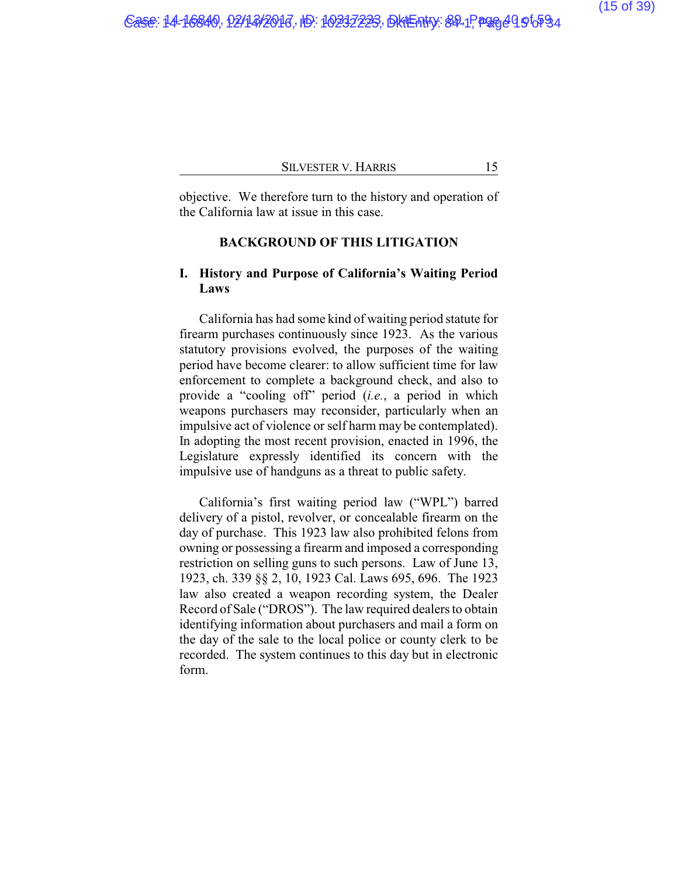objective. We therefore turn to the history and operation of the California law at issue in this case.

## **BACKGROUND OF THIS LITIGATION**

## **I. History and Purpose of California's Waiting Period Laws**

California has had some kind of waiting period statute for firearm purchases continuously since 1923. As the various statutory provisions evolved, the purposes of the waiting period have become clearer: to allow sufficient time for law enforcement to complete a background check, and also to provide a "cooling off" period (*i.e.*, a period in which weapons purchasers may reconsider, particularly when an impulsive act of violence or self harm may be contemplated). In adopting the most recent provision, enacted in 1996, the Legislature expressly identified its concern with the impulsive use of handguns as a threat to public safety.

California's first waiting period law ("WPL") barred delivery of a pistol, revolver, or concealable firearm on the day of purchase. This 1923 law also prohibited felons from owning or possessing a firearm and imposed a corresponding restriction on selling guns to such persons. Law of June 13, 1923, ch. 339 §§ 2, 10, 1923 Cal. Laws 695, 696. The 1923 law also created a weapon recording system, the Dealer Record of Sale ("DROS"). The law required dealers to obtain identifying information about purchasers and mail a form on the day of the sale to the local police or county clerk to be recorded. The system continues to this day but in electronic form.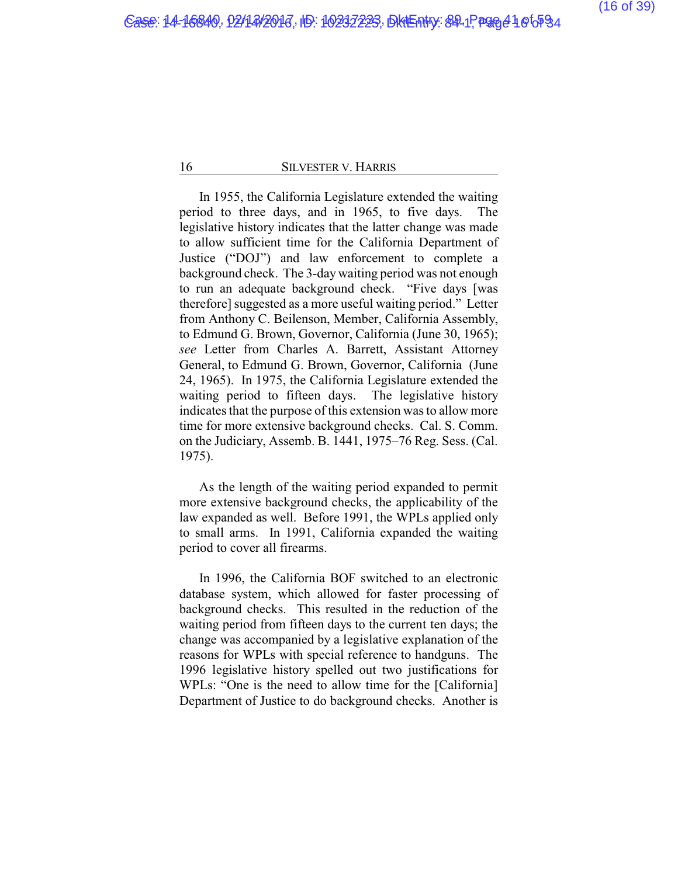In 1955, the California Legislature extended the waiting period to three days, and in 1965, to five days. The legislative history indicates that the latter change was made to allow sufficient time for the California Department of Justice ("DOJ") and law enforcement to complete a background check. The 3-daywaiting period was not enough to run an adequate background check. "Five days [was therefore] suggested as a more useful waiting period." Letter from Anthony C. Beilenson, Member, California Assembly, to Edmund G. Brown, Governor, California (June 30, 1965); *see* Letter from Charles A. Barrett, Assistant Attorney General, to Edmund G. Brown, Governor, California (June 24, 1965). In 1975, the California Legislature extended the waiting period to fifteen days. The legislative history indicates that the purpose of this extension was to allow more time for more extensive background checks. Cal. S. Comm. on the Judiciary, Assemb. B. 1441, 1975–76 Reg. Sess. (Cal. 1975).

As the length of the waiting period expanded to permit more extensive background checks, the applicability of the law expanded as well. Before 1991, the WPLs applied only to small arms. In 1991, California expanded the waiting period to cover all firearms.

In 1996, the California BOF switched to an electronic database system, which allowed for faster processing of background checks. This resulted in the reduction of the waiting period from fifteen days to the current ten days; the change was accompanied by a legislative explanation of the reasons for WPLs with special reference to handguns. The 1996 legislative history spelled out two justifications for WPLs: "One is the need to allow time for the [California] Department of Justice to do background checks. Another is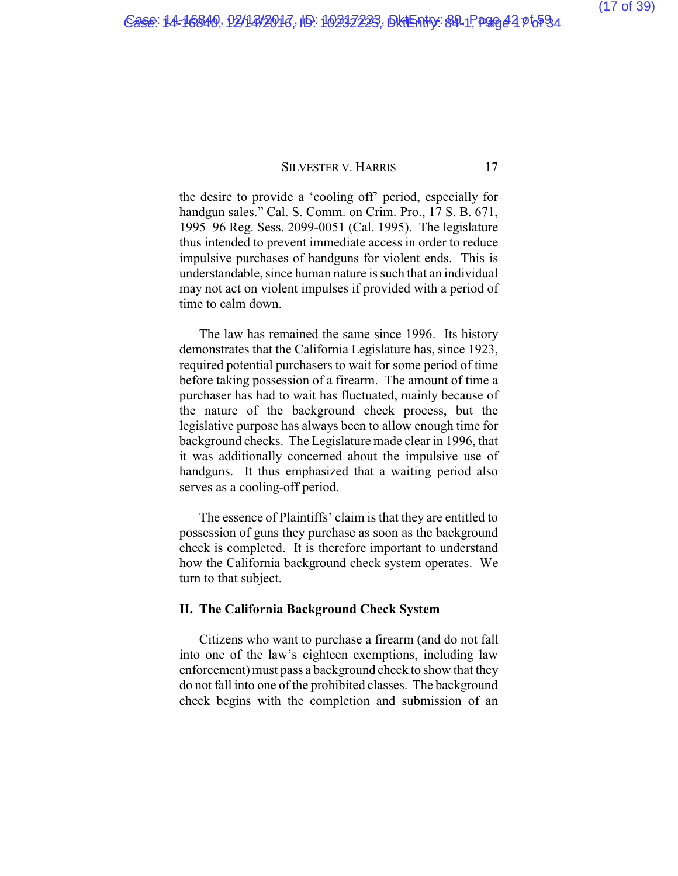the desire to provide a 'cooling off' period, especially for handgun sales." Cal. S. Comm. on Crim. Pro., 17 S. B. 671, 1995–96 Reg. Sess. 2099-0051 (Cal. 1995). The legislature thus intended to prevent immediate access in order to reduce impulsive purchases of handguns for violent ends. This is understandable, since human nature is such that an individual may not act on violent impulses if provided with a period of time to calm down.

The law has remained the same since 1996. Its history demonstrates that the California Legislature has, since 1923, required potential purchasers to wait for some period of time before taking possession of a firearm. The amount of time a purchaser has had to wait has fluctuated, mainly because of the nature of the background check process, but the legislative purpose has always been to allow enough time for background checks. The Legislature made clear in 1996, that it was additionally concerned about the impulsive use of handguns. It thus emphasized that a waiting period also serves as a cooling-off period.

The essence of Plaintiffs' claim is that they are entitled to possession of guns they purchase as soon as the background check is completed. It is therefore important to understand how the California background check system operates. We turn to that subject.

### **II. The California Background Check System**

Citizens who want to purchase a firearm (and do not fall into one of the law's eighteen exemptions, including law enforcement) must pass a background check to show that they do not fall into one of the prohibited classes. The background check begins with the completion and submission of an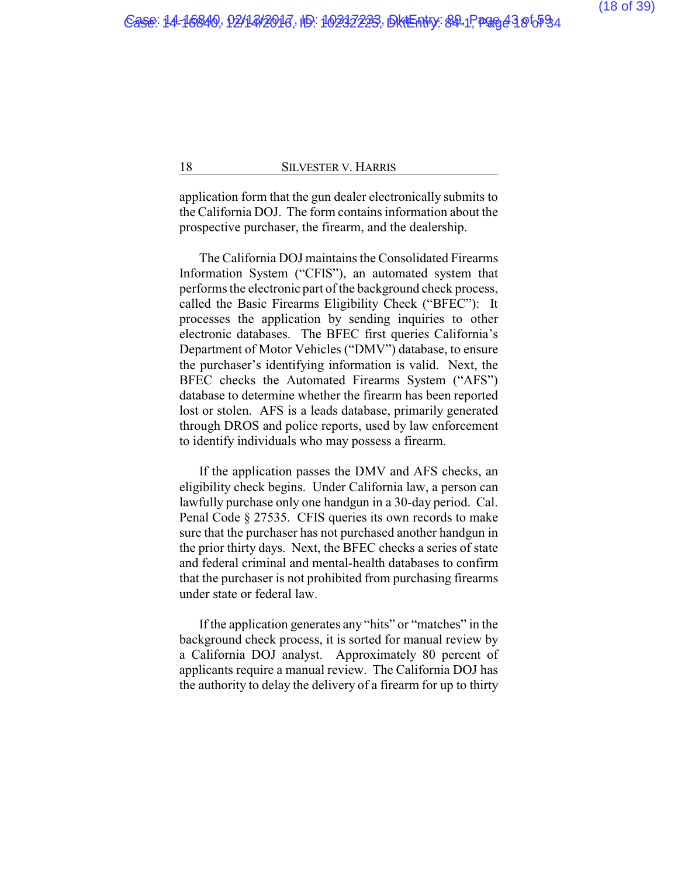application form that the gun dealer electronically submits to the California DOJ. The form contains information about the prospective purchaser, the firearm, and the dealership.

The California DOJ maintains the Consolidated Firearms Information System ("CFIS"), an automated system that performs the electronic part of the background check process, called the Basic Firearms Eligibility Check ("BFEC"): It processes the application by sending inquiries to other electronic databases. The BFEC first queries California's Department of Motor Vehicles ("DMV") database, to ensure the purchaser's identifying information is valid. Next, the BFEC checks the Automated Firearms System ("AFS") database to determine whether the firearm has been reported lost or stolen. AFS is a leads database, primarily generated through DROS and police reports, used by law enforcement to identify individuals who may possess a firearm.

If the application passes the DMV and AFS checks, an eligibility check begins. Under California law, a person can lawfully purchase only one handgun in a 30-day period. Cal. Penal Code § 27535. CFIS queries its own records to make sure that the purchaser has not purchased another handgun in the prior thirty days. Next, the BFEC checks a series of state and federal criminal and mental-health databases to confirm that the purchaser is not prohibited from purchasing firearms under state or federal law.

If the application generates any "hits" or "matches" in the background check process, it is sorted for manual review by a California DOJ analyst. Approximately 80 percent of applicants require a manual review. The California DOJ has the authority to delay the delivery of a firearm for up to thirty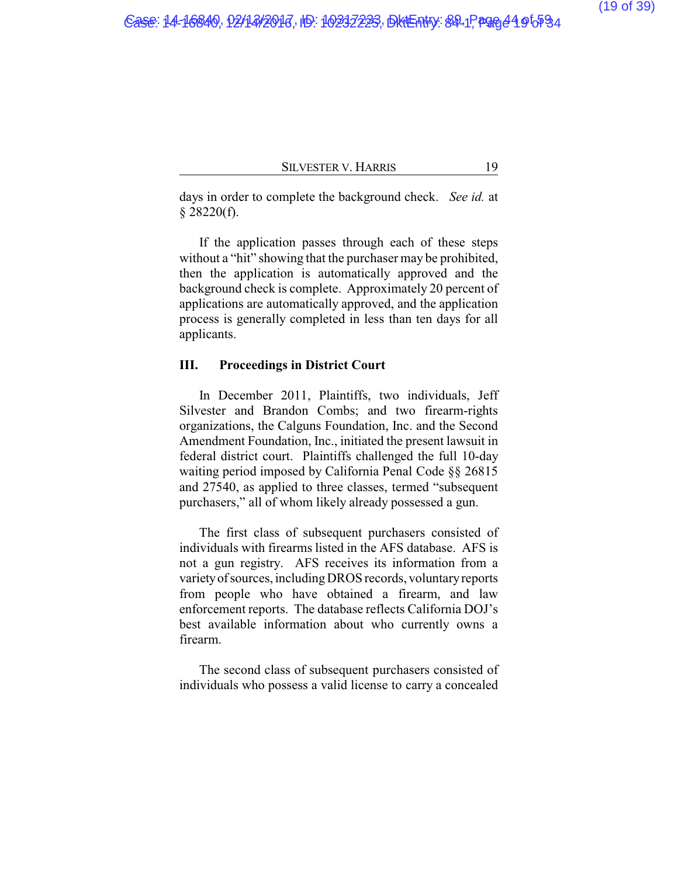days in order to complete the background check. *See id.* at  $§$  28220(f).

If the application passes through each of these steps without a "hit" showing that the purchaser may be prohibited, then the application is automatically approved and the background check is complete. Approximately 20 percent of applications are automatically approved, and the application process is generally completed in less than ten days for all applicants.

## **III. Proceedings in District Court**

In December 2011, Plaintiffs, two individuals, Jeff Silvester and Brandon Combs; and two firearm-rights organizations, the Calguns Foundation, Inc. and the Second Amendment Foundation, Inc., initiated the present lawsuit in federal district court. Plaintiffs challenged the full 10-day waiting period imposed by California Penal Code §§ 26815 and 27540, as applied to three classes, termed "subsequent purchasers," all of whom likely already possessed a gun.

The first class of subsequent purchasers consisted of individuals with firearms listed in the AFS database. AFS is not a gun registry. AFS receives its information from a varietyofsources, includingDROS records, voluntaryreports from people who have obtained a firearm, and law enforcement reports. The database reflects California DOJ's best available information about who currently owns a firearm.

The second class of subsequent purchasers consisted of individuals who possess a valid license to carry a concealed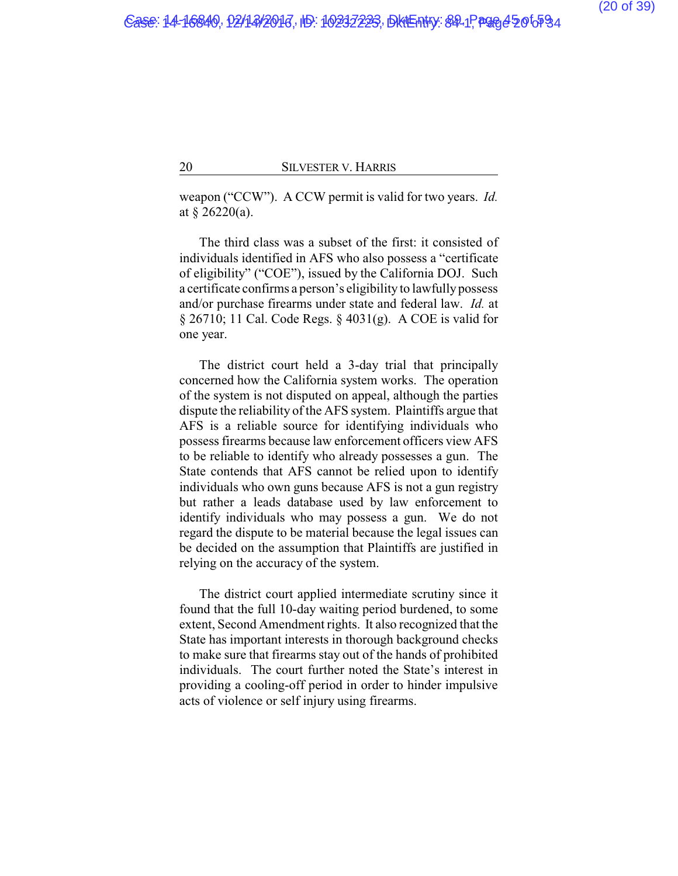weapon ("CCW"). A CCW permit is valid for two years. *Id.* at § 26220(a).

The third class was a subset of the first: it consisted of individuals identified in AFS who also possess a "certificate of eligibility" ("COE"), issued by the California DOJ. Such a certificate confirms a person's eligibility to lawfully possess and/or purchase firearms under state and federal law. *Id.* at § 26710; 11 Cal. Code Regs. § 4031(g). A COE is valid for one year.

The district court held a 3-day trial that principally concerned how the California system works. The operation of the system is not disputed on appeal, although the parties dispute the reliability of the AFS system. Plaintiffs argue that AFS is a reliable source for identifying individuals who possess firearms because law enforcement officers view AFS to be reliable to identify who already possesses a gun. The State contends that AFS cannot be relied upon to identify individuals who own guns because AFS is not a gun registry but rather a leads database used by law enforcement to identify individuals who may possess a gun. We do not regard the dispute to be material because the legal issues can be decided on the assumption that Plaintiffs are justified in relying on the accuracy of the system.

The district court applied intermediate scrutiny since it found that the full 10-day waiting period burdened, to some extent, Second Amendment rights. It also recognized that the State has important interests in thorough background checks to make sure that firearms stay out of the hands of prohibited individuals. The court further noted the State's interest in providing a cooling-off period in order to hinder impulsive acts of violence or self injury using firearms.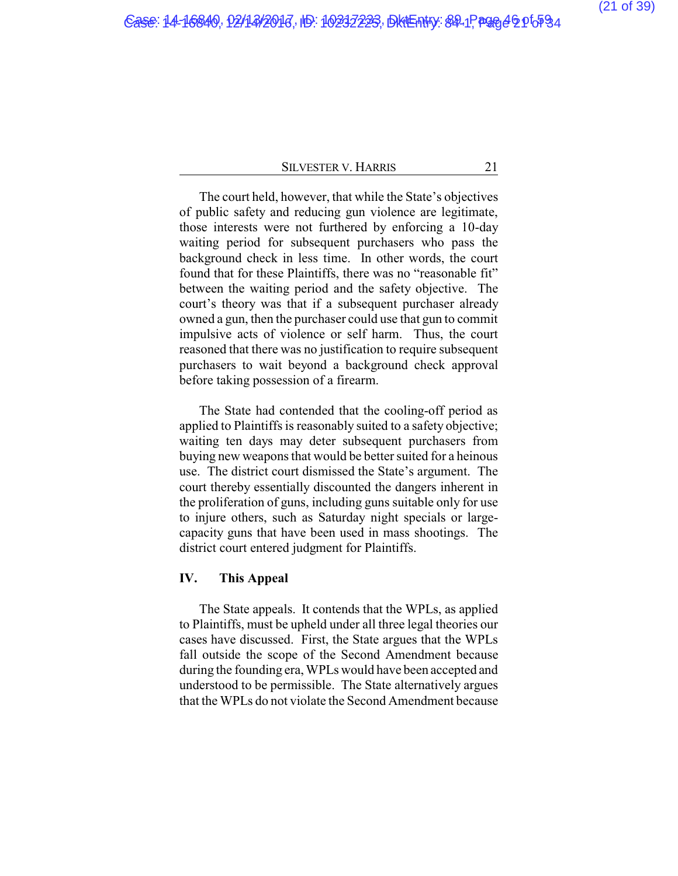The court held, however, that while the State's objectives of public safety and reducing gun violence are legitimate, those interests were not furthered by enforcing a 10-day waiting period for subsequent purchasers who pass the background check in less time. In other words, the court found that for these Plaintiffs, there was no "reasonable fit" between the waiting period and the safety objective. The court's theory was that if a subsequent purchaser already owned a gun, then the purchaser could use that gun to commit impulsive acts of violence or self harm. Thus, the court reasoned that there was no justification to require subsequent purchasers to wait beyond a background check approval before taking possession of a firearm.

The State had contended that the cooling-off period as applied to Plaintiffs is reasonably suited to a safety objective; waiting ten days may deter subsequent purchasers from buying new weapons that would be better suited for a heinous use. The district court dismissed the State's argument. The court thereby essentially discounted the dangers inherent in the proliferation of guns, including guns suitable only for use to injure others, such as Saturday night specials or largecapacity guns that have been used in mass shootings. The district court entered judgment for Plaintiffs.

## **IV. This Appeal**

The State appeals. It contends that the WPLs, as applied to Plaintiffs, must be upheld under all three legal theories our cases have discussed. First, the State argues that the WPLs fall outside the scope of the Second Amendment because during the founding era, WPLs would have been accepted and understood to be permissible. The State alternatively argues that the WPLs do not violate the Second Amendment because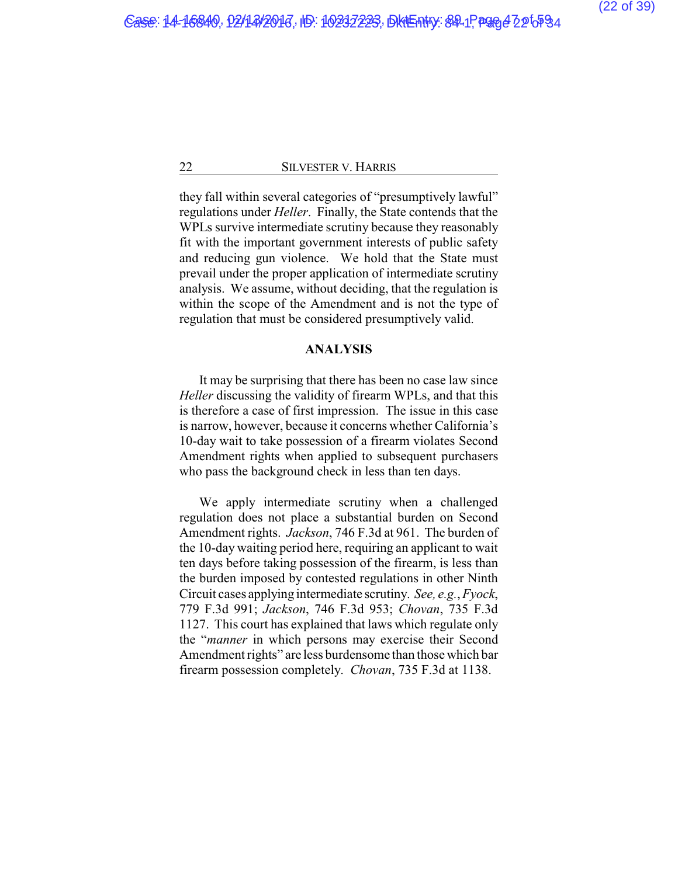they fall within several categories of "presumptively lawful" regulations under *Heller*. Finally, the State contends that the WPLs survive intermediate scrutiny because they reasonably fit with the important government interests of public safety and reducing gun violence. We hold that the State must prevail under the proper application of intermediate scrutiny analysis. We assume, without deciding, that the regulation is within the scope of the Amendment and is not the type of regulation that must be considered presumptively valid.

### **ANALYSIS**

It may be surprising that there has been no case law since *Heller* discussing the validity of firearm WPLs, and that this is therefore a case of first impression. The issue in this case is narrow, however, because it concerns whether California's 10-day wait to take possession of a firearm violates Second Amendment rights when applied to subsequent purchasers who pass the background check in less than ten days.

We apply intermediate scrutiny when a challenged regulation does not place a substantial burden on Second Amendment rights. *Jackson*, 746 F.3d at 961. The burden of the 10-day waiting period here, requiring an applicant to wait ten days before taking possession of the firearm, is less than the burden imposed by contested regulations in other Ninth Circuit cases applying intermediate scrutiny. *See, e.g.*,*Fyock*, 779 F.3d 991; *Jackson*, 746 F.3d 953; *Chovan*, 735 F.3d 1127. This court has explained that laws which regulate only the "*manner* in which persons may exercise their Second Amendment rights" are less burdensome than those which bar firearm possession completely. *Chovan*, 735 F.3d at 1138.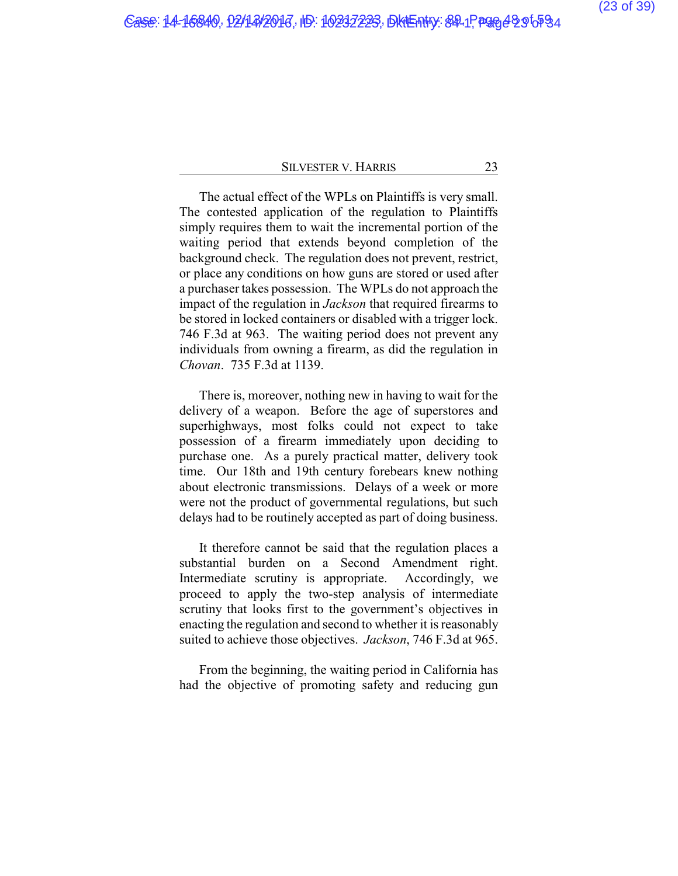The actual effect of the WPLs on Plaintiffs is very small. The contested application of the regulation to Plaintiffs simply requires them to wait the incremental portion of the waiting period that extends beyond completion of the background check. The regulation does not prevent, restrict, or place any conditions on how guns are stored or used after a purchaser takes possession. The WPLs do not approach the impact of the regulation in *Jackson* that required firearms to be stored in locked containers or disabled with a trigger lock. 746 F.3d at 963. The waiting period does not prevent any individuals from owning a firearm, as did the regulation in *Chovan*. 735 F.3d at 1139.

There is, moreover, nothing new in having to wait for the delivery of a weapon. Before the age of superstores and superhighways, most folks could not expect to take possession of a firearm immediately upon deciding to purchase one. As a purely practical matter, delivery took time. Our 18th and 19th century forebears knew nothing about electronic transmissions. Delays of a week or more were not the product of governmental regulations, but such delays had to be routinely accepted as part of doing business.

It therefore cannot be said that the regulation places a substantial burden on a Second Amendment right. Intermediate scrutiny is appropriate. Accordingly, we proceed to apply the two-step analysis of intermediate scrutiny that looks first to the government's objectives in enacting the regulation and second to whether it is reasonably suited to achieve those objectives. *Jackson*, 746 F.3d at 965.

From the beginning, the waiting period in California has had the objective of promoting safety and reducing gun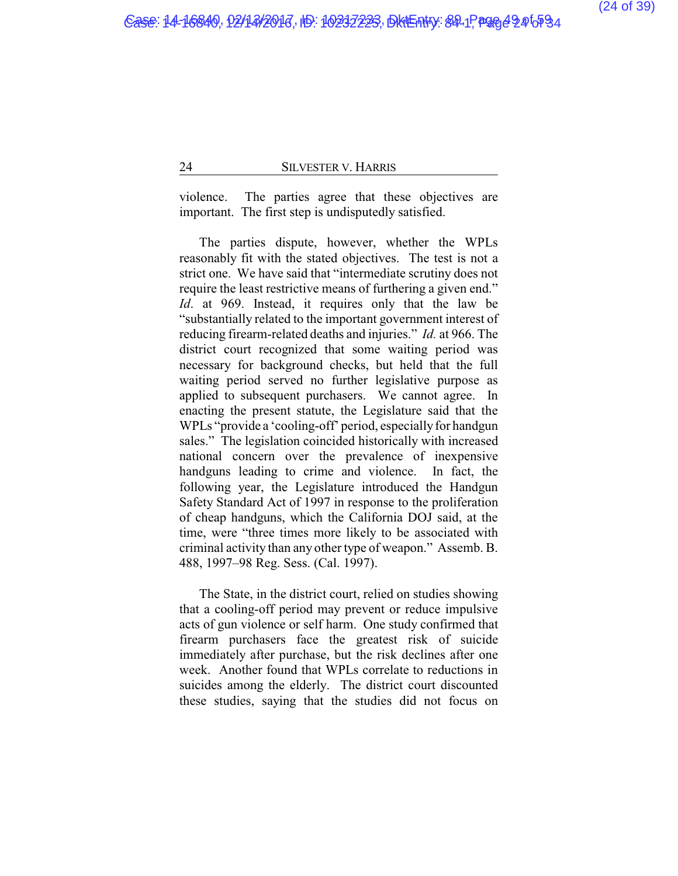violence. The parties agree that these objectives are important. The first step is undisputedly satisfied.

The parties dispute, however, whether the WPLs reasonably fit with the stated objectives. The test is not a strict one. We have said that "intermediate scrutiny does not require the least restrictive means of furthering a given end." *Id*. at 969. Instead, it requires only that the law be "substantially related to the important government interest of reducing firearm-related deaths and injuries." *Id.* at 966. The district court recognized that some waiting period was necessary for background checks, but held that the full waiting period served no further legislative purpose as applied to subsequent purchasers. We cannot agree. In enacting the present statute, the Legislature said that the WPLs "provide a 'cooling-off' period, especially for handgun sales." The legislation coincided historically with increased national concern over the prevalence of inexpensive handguns leading to crime and violence. In fact, the following year, the Legislature introduced the Handgun Safety Standard Act of 1997 in response to the proliferation of cheap handguns, which the California DOJ said, at the time, were "three times more likely to be associated with criminal activity than any other type of weapon." Assemb. B. 488, 1997–98 Reg. Sess. (Cal. 1997).

The State, in the district court, relied on studies showing that a cooling-off period may prevent or reduce impulsive acts of gun violence or self harm. One study confirmed that firearm purchasers face the greatest risk of suicide immediately after purchase, but the risk declines after one week. Another found that WPLs correlate to reductions in suicides among the elderly. The district court discounted these studies, saying that the studies did not focus on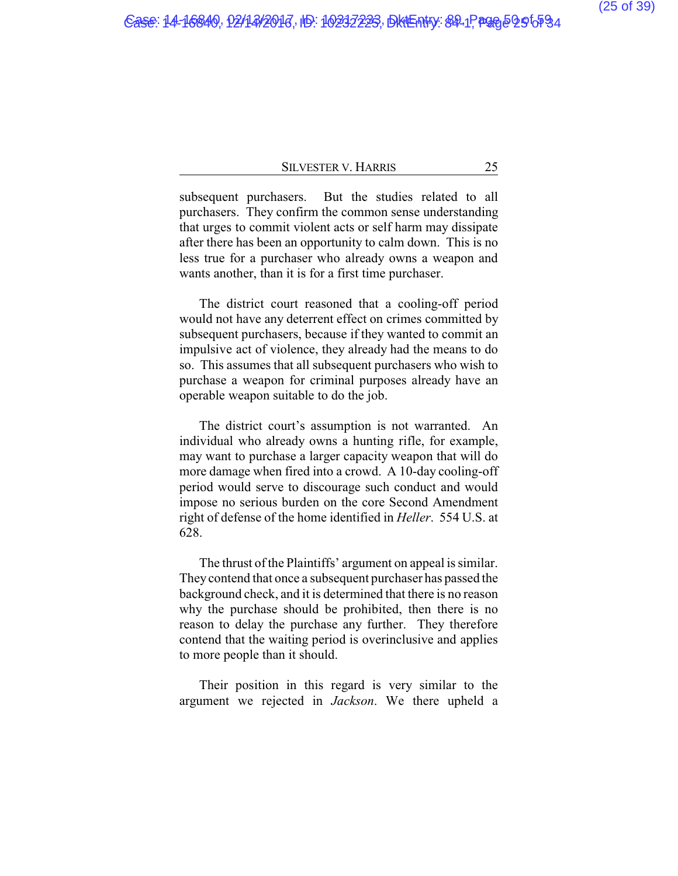subsequent purchasers. But the studies related to all purchasers. They confirm the common sense understanding that urges to commit violent acts or self harm may dissipate after there has been an opportunity to calm down. This is no less true for a purchaser who already owns a weapon and wants another, than it is for a first time purchaser.

The district court reasoned that a cooling-off period would not have any deterrent effect on crimes committed by subsequent purchasers, because if they wanted to commit an impulsive act of violence, they already had the means to do so. This assumes that all subsequent purchasers who wish to purchase a weapon for criminal purposes already have an operable weapon suitable to do the job.

The district court's assumption is not warranted. An individual who already owns a hunting rifle, for example, may want to purchase a larger capacity weapon that will do more damage when fired into a crowd. A 10-day cooling-off period would serve to discourage such conduct and would impose no serious burden on the core Second Amendment right of defense of the home identified in *Heller*. 554 U.S. at 628.

The thrust of the Plaintiffs' argument on appeal is similar. They contend that once a subsequent purchaser has passed the background check, and it is determined that there is no reason why the purchase should be prohibited, then there is no reason to delay the purchase any further. They therefore contend that the waiting period is overinclusive and applies to more people than it should.

Their position in this regard is very similar to the argument we rejected in *Jackson*. We there upheld a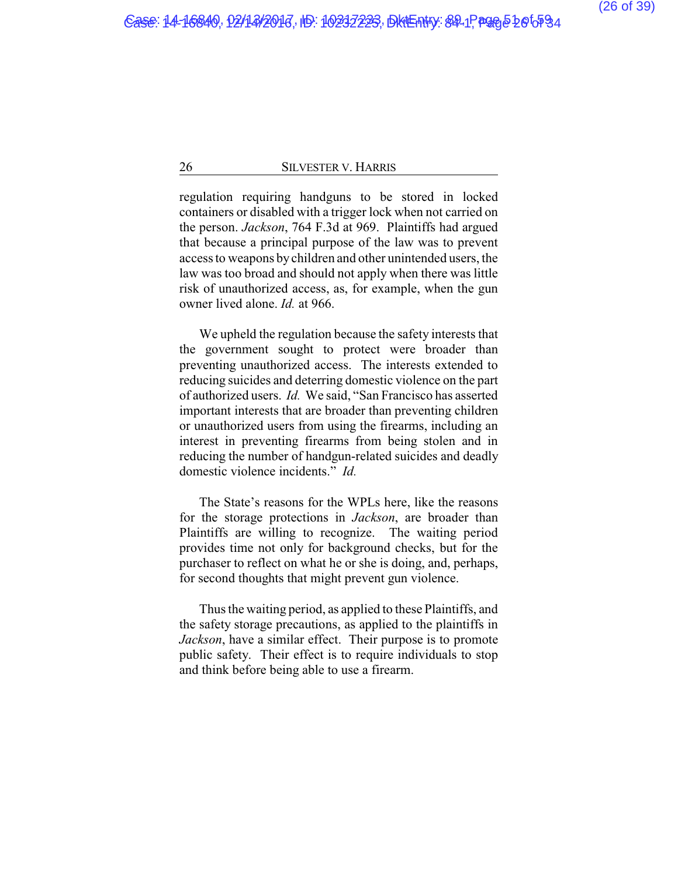regulation requiring handguns to be stored in locked containers or disabled with a trigger lock when not carried on the person. *Jackson*, 764 F.3d at 969. Plaintiffs had argued that because a principal purpose of the law was to prevent access to weapons bychildren and other unintended users, the law was too broad and should not apply when there was little risk of unauthorized access, as, for example, when the gun owner lived alone. *Id.* at 966.

We upheld the regulation because the safety interests that the government sought to protect were broader than preventing unauthorized access. The interests extended to reducing suicides and deterring domestic violence on the part of authorized users. *Id.* We said, "San Francisco has asserted important interests that are broader than preventing children or unauthorized users from using the firearms, including an interest in preventing firearms from being stolen and in reducing the number of handgun-related suicides and deadly domestic violence incidents." *Id.*

The State's reasons for the WPLs here, like the reasons for the storage protections in *Jackson*, are broader than Plaintiffs are willing to recognize. The waiting period provides time not only for background checks, but for the purchaser to reflect on what he or she is doing, and, perhaps, for second thoughts that might prevent gun violence.

Thus the waiting period, as applied to these Plaintiffs, and the safety storage precautions, as applied to the plaintiffs in *Jackson*, have a similar effect. Their purpose is to promote public safety. Their effect is to require individuals to stop and think before being able to use a firearm.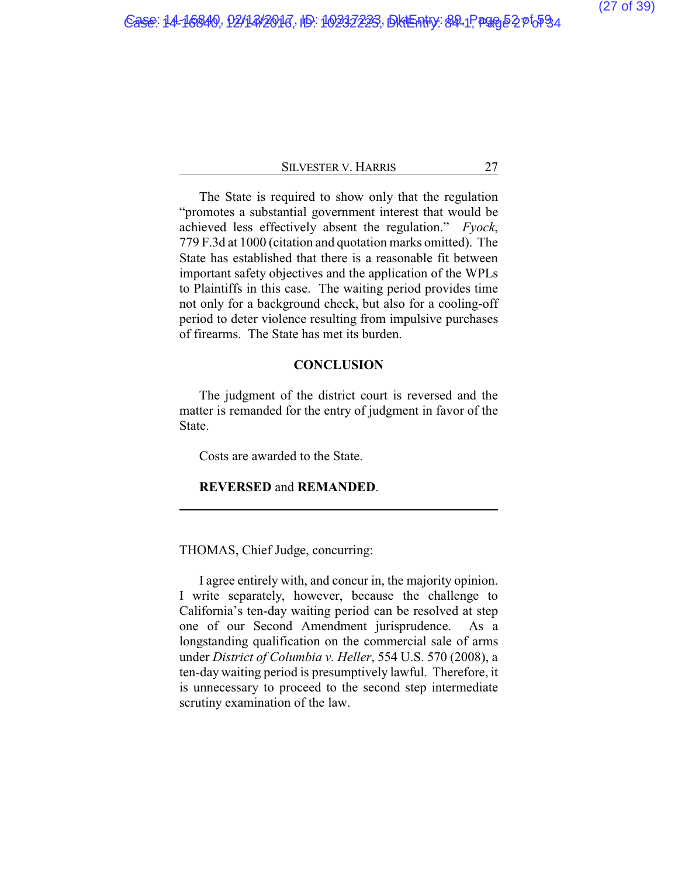The State is required to show only that the regulation "promotes a substantial government interest that would be achieved less effectively absent the regulation." *Fyock*, 779 F.3d at 1000 (citation and quotation marks omitted). The State has established that there is a reasonable fit between important safety objectives and the application of the WPLs to Plaintiffs in this case. The waiting period provides time not only for a background check, but also for a cooling-off period to deter violence resulting from impulsive purchases of firearms. The State has met its burden.

## **CONCLUSION**

The judgment of the district court is reversed and the matter is remanded for the entry of judgment in favor of the State.

Costs are awarded to the State.

## **REVERSED** and **REMANDED**.

THOMAS, Chief Judge, concurring:

I agree entirely with, and concur in, the majority opinion. I write separately, however, because the challenge to California's ten-day waiting period can be resolved at step one of our Second Amendment jurisprudence. As a longstanding qualification on the commercial sale of arms under *District of Columbia v. Heller*, 554 U.S. 570 (2008), a ten-day waiting period is presumptively lawful. Therefore, it is unnecessary to proceed to the second step intermediate scrutiny examination of the law.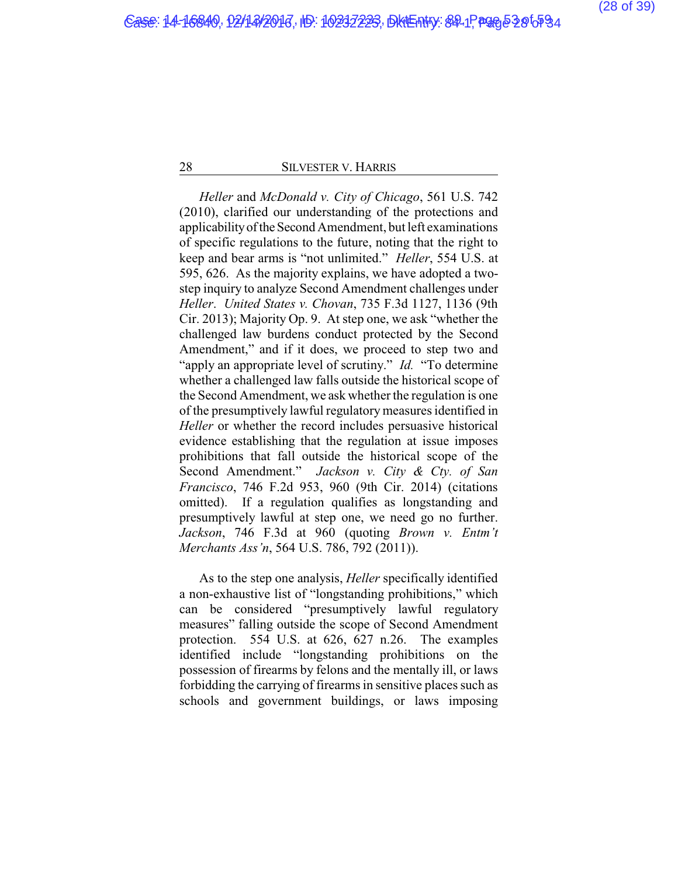*Heller* and *McDonald v. City of Chicago*, 561 U.S. 742 (2010), clarified our understanding of the protections and applicabilityoftheSecond Amendment, but left examinations of specific regulations to the future, noting that the right to keep and bear arms is "not unlimited." *Heller*, 554 U.S. at 595, 626. As the majority explains, we have adopted a twostep inquiry to analyze Second Amendment challenges under *Heller*. *United States v. Chovan*, 735 F.3d 1127, 1136 (9th Cir. 2013); Majority Op. 9. At step one, we ask "whether the challenged law burdens conduct protected by the Second Amendment," and if it does, we proceed to step two and "apply an appropriate level of scrutiny." *Id.* "To determine" whether a challenged law falls outside the historical scope of the Second Amendment, we ask whether the regulation is one of the presumptively lawful regulatory measures identified in *Heller* or whether the record includes persuasive historical evidence establishing that the regulation at issue imposes prohibitions that fall outside the historical scope of the Second Amendment." *Jackson v. City & Cty. of San Francisco*, 746 F.2d 953, 960 (9th Cir. 2014) (citations omitted). If a regulation qualifies as longstanding and presumptively lawful at step one, we need go no further. *Jackson*, 746 F.3d at 960 (quoting *Brown v. Entm't Merchants Ass'n*, 564 U.S. 786, 792 (2011)).

As to the step one analysis, *Heller* specifically identified a non-exhaustive list of "longstanding prohibitions," which can be considered "presumptively lawful regulatory measures" falling outside the scope of Second Amendment protection. 554 U.S. at 626, 627 n.26. The examples identified include "longstanding prohibitions on the possession of firearms by felons and the mentally ill, or laws forbidding the carrying of firearms in sensitive places such as schools and government buildings, or laws imposing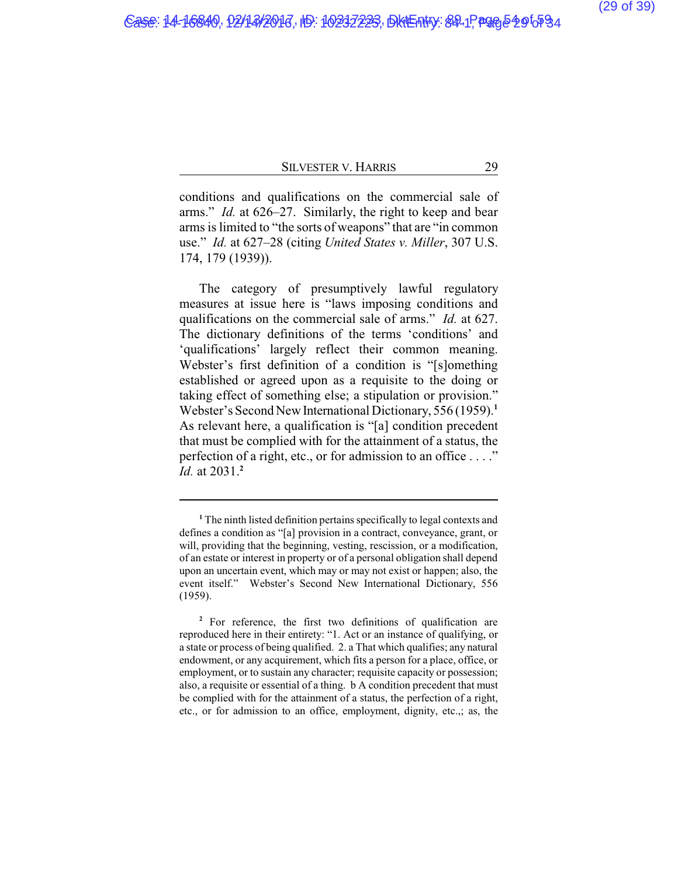conditions and qualifications on the commercial sale of arms." *Id.* at 626–27. Similarly, the right to keep and bear arms is limited to "the sorts of weapons" that are "in common use." *Id.* at 627–28 (citing *United States v. Miller*, 307 U.S. 174, 179 (1939)).

The category of presumptively lawful regulatory measures at issue here is "laws imposing conditions and qualifications on the commercial sale of arms." *Id.* at 627. The dictionary definitions of the terms 'conditions' and 'qualifications' largely reflect their common meaning. Webster's first definition of a condition is "[s]omething established or agreed upon as a requisite to the doing or taking effect of something else; a stipulation or provision." Webster's Second New International Dictionary, 556 (1959).**<sup>1</sup>** As relevant here, a qualification is "[a] condition precedent that must be complied with for the attainment of a status, the perfection of a right, etc., or for admission to an office . . . ." *Id.* at 2031.**<sup>2</sup>**

**<sup>1</sup>** The ninth listed definition pertains specifically to legal contexts and defines a condition as "[a] provision in a contract, conveyance, grant, or will, providing that the beginning, vesting, rescission, or a modification, of an estate or interest in property or of a personal obligation shall depend upon an uncertain event, which may or may not exist or happen; also, the event itself." Webster's Second New International Dictionary, 556 (1959).

**<sup>2</sup>** For reference, the first two definitions of qualification are reproduced here in their entirety: "1. Act or an instance of qualifying, or a state or process of being qualified. 2. a That which qualifies; any natural endowment, or any acquirement, which fits a person for a place, office, or employment, or to sustain any character; requisite capacity or possession; also, a requisite or essential of a thing. b A condition precedent that must be complied with for the attainment of a status, the perfection of a right, etc., or for admission to an office, employment, dignity, etc.,; as, the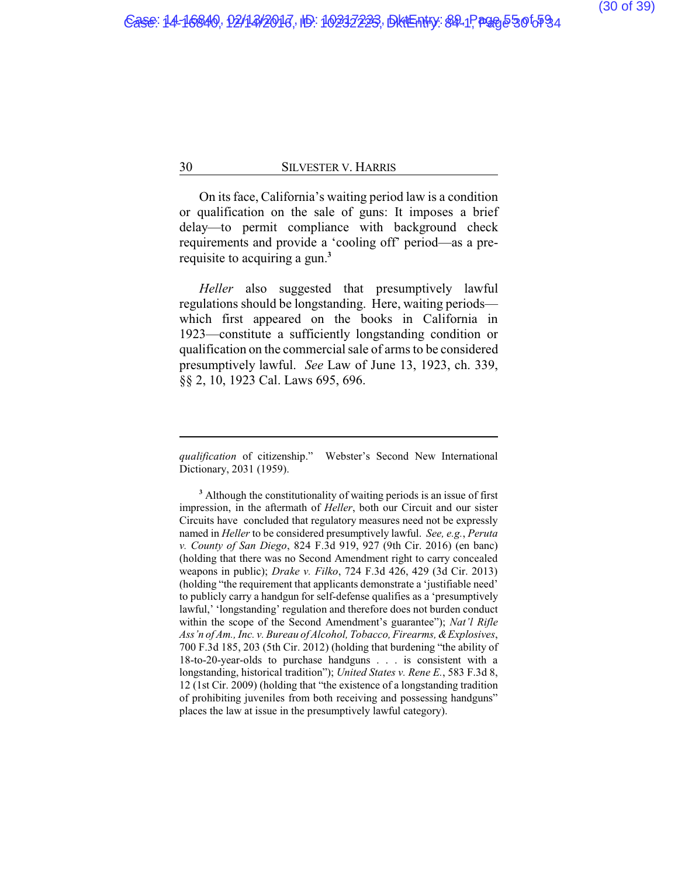On its face, California's waiting period law is a condition or qualification on the sale of guns: It imposes a brief delay—to permit compliance with background check requirements and provide a 'cooling off' period—as a prerequisite to acquiring a gun.**<sup>3</sup>**

*Heller* also suggested that presumptively lawful regulations should be longstanding. Here, waiting periods which first appeared on the books in California in 1923—constitute a sufficiently longstanding condition or qualification on the commercial sale of arms to be considered presumptively lawful. *See* Law of June 13, 1923, ch. 339, §§ 2, 10, 1923 Cal. Laws 695, 696.

*qualification* of citizenship." Webster's Second New International Dictionary, 2031 (1959).

**<sup>3</sup>** Although the constitutionality of waiting periods is an issue of first impression, in the aftermath of *Heller*, both our Circuit and our sister Circuits have concluded that regulatory measures need not be expressly named in *Heller* to be considered presumptively lawful. *See, e.g.*, *Peruta v. County of San Diego*, 824 F.3d 919, 927 (9th Cir. 2016) (en banc) (holding that there was no Second Amendment right to carry concealed weapons in public); *Drake v. Filko*, 724 F.3d 426, 429 (3d Cir. 2013) (holding "the requirement that applicants demonstrate a 'justifiable need' to publicly carry a handgun for self-defense qualifies as a 'presumptively lawful,' 'longstanding' regulation and therefore does not burden conduct within the scope of the Second Amendment's guarantee"); *Nat'l Rifle Ass'n of Am., Inc. v. Bureau of Alcohol, Tobacco, Firearms, &Explosives*, 700 F.3d 185, 203 (5th Cir. 2012) (holding that burdening "the ability of 18-to-20-year-olds to purchase handguns . . . is consistent with a longstanding, historical tradition"); *United States v. Rene E.*, 583 F.3d 8, 12 (1st Cir. 2009) (holding that "the existence of a longstanding tradition of prohibiting juveniles from both receiving and possessing handguns" places the law at issue in the presumptively lawful category).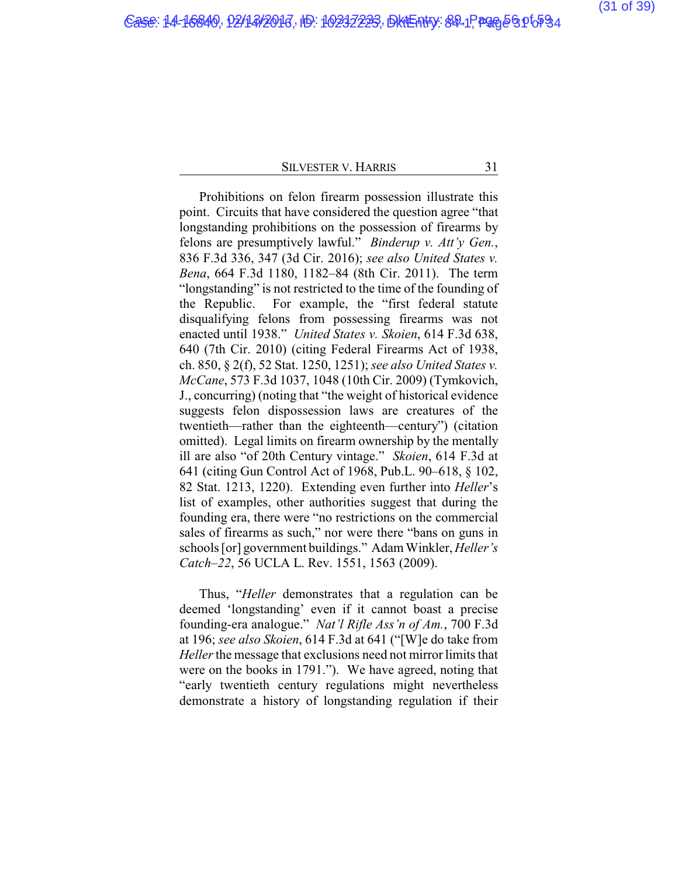Prohibitions on felon firearm possession illustrate this point. Circuits that have considered the question agree "that longstanding prohibitions on the possession of firearms by felons are presumptively lawful." *Binderup v. Att'y Gen.*, 836 F.3d 336, 347 (3d Cir. 2016); *see also United States v. Bena*, 664 F.3d 1180, 1182–84 (8th Cir. 2011). The term "longstanding" is not restricted to the time of the founding of the Republic. For example, the "first federal statute disqualifying felons from possessing firearms was not enacted until 1938." *United States v. Skoien*, 614 F.3d 638, 640 (7th Cir. 2010) (citing Federal Firearms Act of 1938, ch. 850, § 2(f), 52 Stat. 1250, 1251); *see also United States v. McCane*, 573 F.3d 1037, 1048 (10th Cir. 2009) (Tymkovich, J., concurring) (noting that "the weight of historical evidence suggests felon dispossession laws are creatures of the twentieth—rather than the eighteenth—century") (citation omitted). Legal limits on firearm ownership by the mentally ill are also "of 20th Century vintage." *Skoien*, 614 F.3d at 641 (citing Gun Control Act of 1968, Pub.L. 90–618, § 102, 82 Stat. 1213, 1220). Extending even further into *Heller*'s list of examples, other authorities suggest that during the founding era, there were "no restrictions on the commercial sales of firearms as such," nor were there "bans on guns in schools [or] government buildings." Adam Winkler, *Heller's Catch–22*, 56 UCLA L. Rev. 1551, 1563 (2009).

Thus, "*Heller* demonstrates that a regulation can be deemed 'longstanding' even if it cannot boast a precise founding-era analogue." *Nat'l Rifle Ass'n of Am.*, 700 F.3d at 196; *see also Skoien*, 614 F.3d at 641 ("[W]e do take from *Heller*the message that exclusions need not mirror limits that were on the books in 1791."). We have agreed, noting that "early twentieth century regulations might nevertheless demonstrate a history of longstanding regulation if their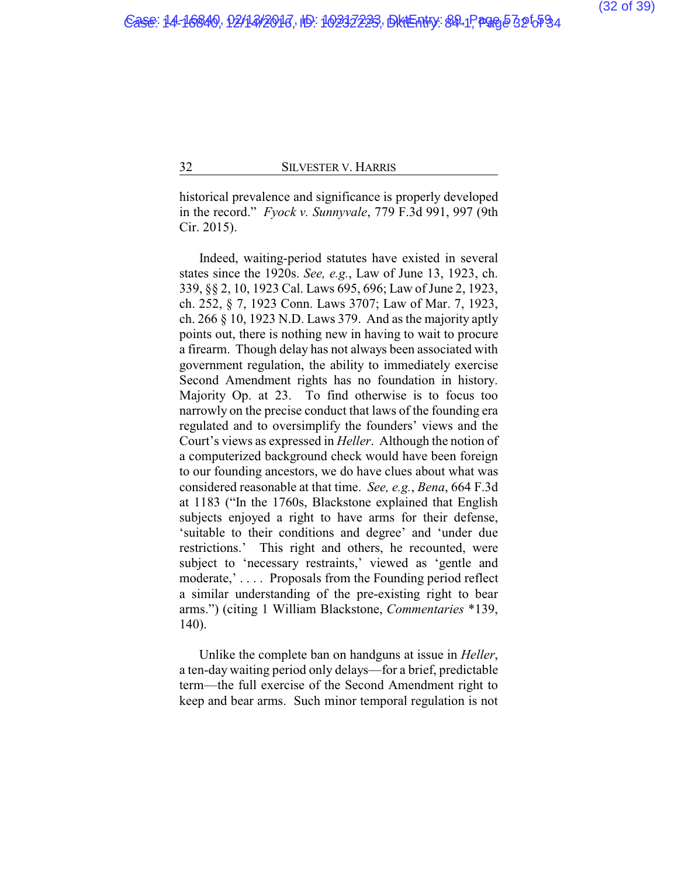historical prevalence and significance is properly developed in the record." *Fyock v. Sunnyvale*, 779 F.3d 991, 997 (9th Cir. 2015).

Indeed, waiting-period statutes have existed in several states since the 1920s. *See, e.g.*, Law of June 13, 1923, ch. 339, §§ 2, 10, 1923 Cal. Laws 695, 696; Law of June 2, 1923, ch. 252, § 7, 1923 Conn. Laws 3707; Law of Mar. 7, 1923, ch. 266 § 10, 1923 N.D. Laws 379. And as the majority aptly points out, there is nothing new in having to wait to procure a firearm. Though delay has not always been associated with government regulation, the ability to immediately exercise Second Amendment rights has no foundation in history. Majority Op. at 23. To find otherwise is to focus too narrowly on the precise conduct that laws of the founding era regulated and to oversimplify the founders' views and the Court's views as expressed in *Heller*. Although the notion of a computerized background check would have been foreign to our founding ancestors, we do have clues about what was considered reasonable at that time. *See, e.g.*, *Bena*, 664 F.3d at 1183 ("In the 1760s, Blackstone explained that English subjects enjoyed a right to have arms for their defense, 'suitable to their conditions and degree' and 'under due restrictions.' This right and others, he recounted, were subject to 'necessary restraints,' viewed as 'gentle and moderate,'.... Proposals from the Founding period reflect a similar understanding of the pre-existing right to bear arms.") (citing 1 William Blackstone, *Commentaries* \*139, 140).

Unlike the complete ban on handguns at issue in *Heller*, a ten-day waiting period only delays—for a brief, predictable term—the full exercise of the Second Amendment right to keep and bear arms. Such minor temporal regulation is not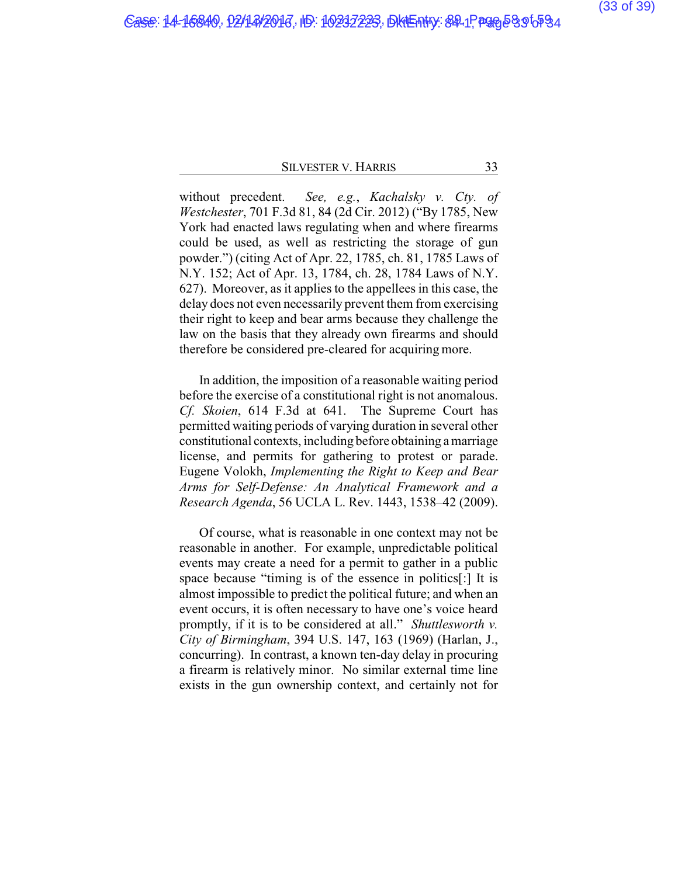without precedent. *See, e.g.*, *Kachalsky v. Cty. of Westchester*, 701 F.3d 81, 84 (2d Cir. 2012) ("By 1785, New York had enacted laws regulating when and where firearms could be used, as well as restricting the storage of gun powder.") (citing Act of Apr. 22, 1785, ch. 81, 1785 Laws of N.Y. 152; Act of Apr. 13, 1784, ch. 28, 1784 Laws of N.Y. 627). Moreover, as it applies to the appellees in this case, the delay does not even necessarily prevent them from exercising their right to keep and bear arms because they challenge the law on the basis that they already own firearms and should therefore be considered pre-cleared for acquiring more.

In addition, the imposition of a reasonable waiting period before the exercise of a constitutional right is not anomalous. *Cf. Skoien*, 614 F.3d at 641. The Supreme Court has permitted waiting periods of varying duration in several other constitutional contexts, including before obtaining a marriage license, and permits for gathering to protest or parade. Eugene Volokh, *Implementing the Right to Keep and Bear Arms for Self-Defense: An Analytical Framework and a Research Agenda*, 56 UCLA L. Rev. 1443, 1538–42 (2009).

Of course, what is reasonable in one context may not be reasonable in another. For example, unpredictable political events may create a need for a permit to gather in a public space because "timing is of the essence in politics[:] It is almost impossible to predict the political future; and when an event occurs, it is often necessary to have one's voice heard promptly, if it is to be considered at all." *Shuttlesworth v. City of Birmingham*, 394 U.S. 147, 163 (1969) (Harlan, J., concurring). In contrast, a known ten-day delay in procuring a firearm is relatively minor. No similar external time line exists in the gun ownership context, and certainly not for